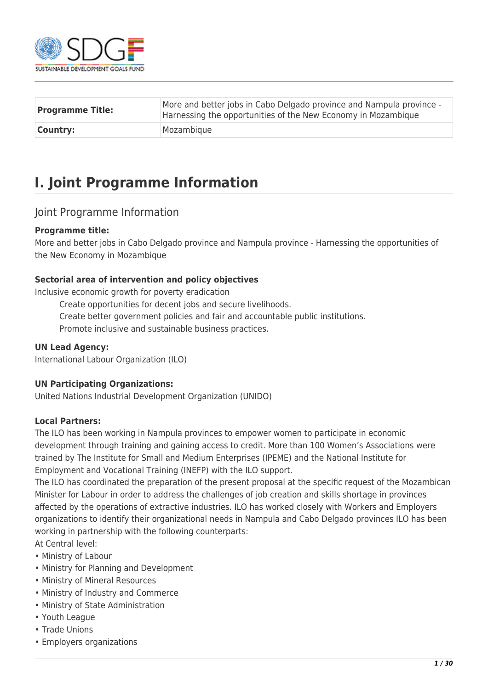

| <b>Programme Title:</b> | More and better jobs in Cabo Delgado province and Nampula province -<br>Harnessing the opportunities of the New Economy in Mozambique |
|-------------------------|---------------------------------------------------------------------------------------------------------------------------------------|
| <b>Country:</b>         | Mozambique                                                                                                                            |

## **I. Joint Programme Information**

## Joint Programme Information

#### **Programme title:**

More and better jobs in Cabo Delgado province and Nampula province - Harnessing the opportunities of the New Economy in Mozambique

#### **Sectorial area of intervention and policy objectives**

Inclusive economic growth for poverty eradication

- Create opportunities for decent jobs and secure livelihoods.
- Create better government policies and fair and accountable public institutions.

Promote inclusive and sustainable business practices.

#### **UN Lead Agency:**

International Labour Organization (ILO)

### **UN Participating Organizations:**

United Nations Industrial Development Organization (UNIDO)

#### **Local Partners:**

The ILO has been working in Nampula provinces to empower women to participate in economic development through training and gaining access to credit. More than 100 Women's Associations were trained by The Institute for Small and Medium Enterprises (IPEME) and the National Institute for Employment and Vocational Training (INEFP) with the ILO support.

The ILO has coordinated the preparation of the present proposal at the specific request of the Mozambican Minister for Labour in order to address the challenges of job creation and skills shortage in provinces affected by the operations of extractive industries. ILO has worked closely with Workers and Employers organizations to identify their organizational needs in Nampula and Cabo Delgado provinces ILO has been working in partnership with the following counterparts:

At Central level:

- Ministry of Labour
- Ministry for Planning and Development
- Ministry of Mineral Resources
- Ministry of Industry and Commerce
- Ministry of State Administration
- Youth League
- Trade Unions
- Employers organizations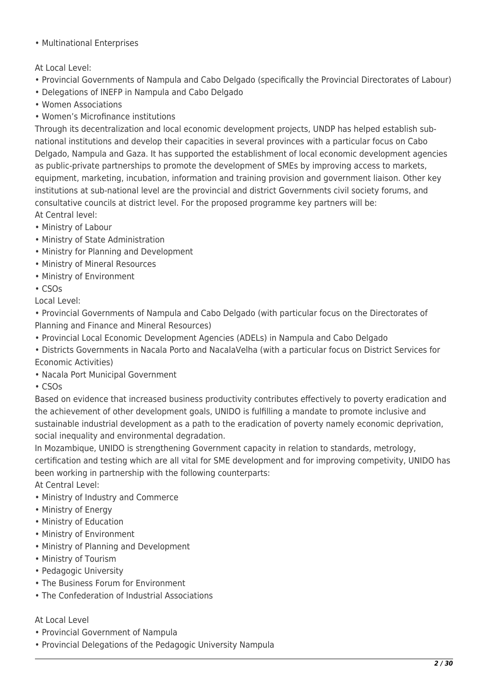• Multinational Enterprises

## At Local Level:

- Provincial Governments of Nampula and Cabo Delgado (specifically the Provincial Directorates of Labour)
- Delegations of INEFP in Nampula and Cabo Delgado
- Women Associations
- Women's Microfinance institutions

Through its decentralization and local economic development projects, UNDP has helped establish subnational institutions and develop their capacities in several provinces with a particular focus on Cabo Delgado, Nampula and Gaza. It has supported the establishment of local economic development agencies as public-private partnerships to promote the development of SMEs by improving access to markets, equipment, marketing, incubation, information and training provision and government liaison. Other key institutions at sub-national level are the provincial and district Governments civil society forums, and consultative councils at district level. For the proposed programme key partners will be: At Central level:

- Ministry of Labour
- Ministry of State Administration
- Ministry for Planning and Development
- Ministry of Mineral Resources
- Ministry of Environment
- CSOs

Local Level:

• Provincial Governments of Nampula and Cabo Delgado (with particular focus on the Directorates of Planning and Finance and Mineral Resources)

- Provincial Local Economic Development Agencies (ADELs) in Nampula and Cabo Delgado
- Districts Governments in Nacala Porto and NacalaVelha (with a particular focus on District Services for Economic Activities)
- Nacala Port Municipal Government
- CSOs

Based on evidence that increased business productivity contributes effectively to poverty eradication and the achievement of other development goals, UNIDO is fulfilling a mandate to promote inclusive and sustainable industrial development as a path to the eradication of poverty namely economic deprivation, social inequality and environmental degradation.

In Mozambique, UNIDO is strengthening Government capacity in relation to standards, metrology, certification and testing which are all vital for SME development and for improving competivity, UNIDO has been working in partnership with the following counterparts:

At Central Level:

- Ministry of Industry and Commerce
- Ministry of Energy
- Ministry of Education
- Ministry of Environment
- Ministry of Planning and Development
- Ministry of Tourism
- Pedagogic University
- The Business Forum for Environment
- The Confederation of Industrial Associations

### At Local Level

- Provincial Government of Nampula
- Provincial Delegations of the Pedagogic University Nampula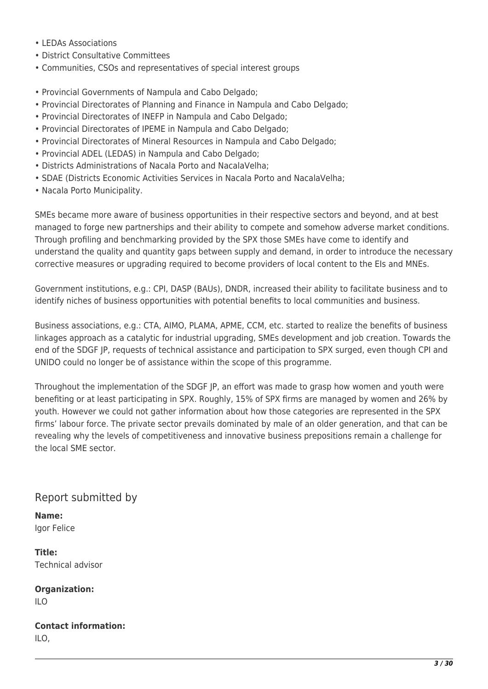- LEDAs Associations
- District Consultative Committees
- Communities, CSOs and representatives of special interest groups
- Provincial Governments of Nampula and Cabo Delgado;
- Provincial Directorates of Planning and Finance in Nampula and Cabo Delgado;
- Provincial Directorates of INEFP in Nampula and Cabo Delgado;
- Provincial Directorates of IPEME in Nampula and Cabo Delgado;
- Provincial Directorates of Mineral Resources in Nampula and Cabo Delgado;
- Provincial ADEL (LEDAS) in Nampula and Cabo Delgado;
- Districts Administrations of Nacala Porto and NacalaVelha;
- SDAE (Districts Economic Activities Services in Nacala Porto and NacalaVelha;
- Nacala Porto Municipality.

SMEs became more aware of business opportunities in their respective sectors and beyond, and at best managed to forge new partnerships and their ability to compete and somehow adverse market conditions. Through profiling and benchmarking provided by the SPX those SMEs have come to identify and understand the quality and quantity gaps between supply and demand, in order to introduce the necessary corrective measures or upgrading required to become providers of local content to the EIs and MNEs.

Government institutions, e.g.: CPI, DASP (BAUs), DNDR, increased their ability to facilitate business and to identify niches of business opportunities with potential benefits to local communities and business.

Business associations, e.g.: CTA, AIMO, PLAMA, APME, CCM, etc. started to realize the benefits of business linkages approach as a catalytic for industrial upgrading, SMEs development and job creation. Towards the end of the SDGF JP, requests of technical assistance and participation to SPX surged, even though CPI and UNIDO could no longer be of assistance within the scope of this programme.

Throughout the implementation of the SDGF JP, an effort was made to grasp how women and youth were benefiting or at least participating in SPX. Roughly, 15% of SPX firms are managed by women and 26% by youth. However we could not gather information about how those categories are represented in the SPX firms' labour force. The private sector prevails dominated by male of an older generation, and that can be revealing why the levels of competitiveness and innovative business prepositions remain a challenge for the local SME sector.

## Report submitted by

**Name:**  Igor Felice

**Title:**  Technical advisor

**Organization:**  ILO

**Contact information:**  ILO,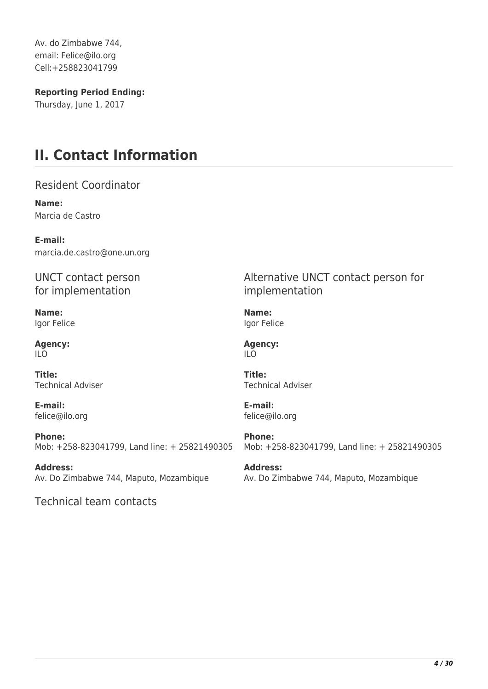Av. do Zimbabwe 744, email: Felice@ilo.org Cell:+258823041799

**Reporting Period Ending:** 

Thursday, June 1, 2017

## **II. Contact Information**

Resident Coordinator

**Name:**  Marcia de Castro

**E-mail:**  marcia.de.castro@one.un.org

UNCT contact person for implementation

**Name:**  Igor Felice

**Agency:**  ILO

**Title:**  Technical Adviser

**E-mail:**  felice@ilo.org

**Phone:**  Mob: +258-823041799, Land line: + 25821490305

**Address:**  Av. Do Zimbabwe 744, Maputo, Mozambique

Technical team contacts

Alternative UNCT contact person for implementation

**Name:**  Igor Felice

**Agency:**  ILO

**Title:**  Technical Adviser

**E-mail:**  felice@ilo.org

**Phone:**  Mob: +258-823041799, Land line: + 25821490305

**Address:**  Av. Do Zimbabwe 744, Maputo, Mozambique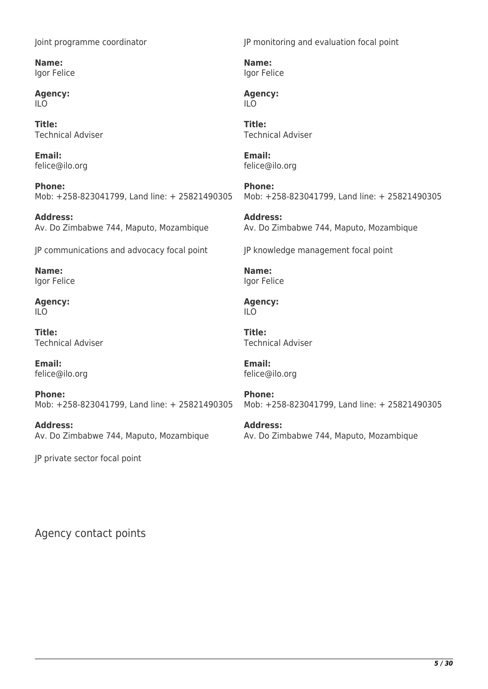Joint programme coordinator

**Name:**  Igor Felice

**Agency:**  ILO

**Title:**  Technical Adviser

**Email:**  felice@ilo.org

**Phone:**  Mob: +258-823041799, Land line: + 25821490305

**Address:**  Av. Do Zimbabwe 744, Maputo, Mozambique

JP communications and advocacy focal point

**Name:**  Igor Felice

**Agency:**  ILO

**Title:**  Technical Adviser

**Email:**  felice@ilo.org

**Phone:**  Mob: +258-823041799, Land line: + 25821490305

**Address:**  Av. Do Zimbabwe 744, Maputo, Mozambique

JP private sector focal point

JP monitoring and evaluation focal point

**Name:**  Igor Felice

**Agency:**  ILO

**Title:**  Technical Adviser

**Email:**  felice@ilo.org

**Phone:**  Mob: +258-823041799, Land line: + 25821490305

**Address:**  Av. Do Zimbabwe 744, Maputo, Mozambique

JP knowledge management focal point

**Name:**  Igor Felice

**Agency:**  ILO

**Title:**  Technical Adviser

**Email:**  felice@ilo.org

**Phone:**  Mob: +258-823041799, Land line: + 25821490305

**Address:**  Av. Do Zimbabwe 744, Maputo, Mozambique

Agency contact points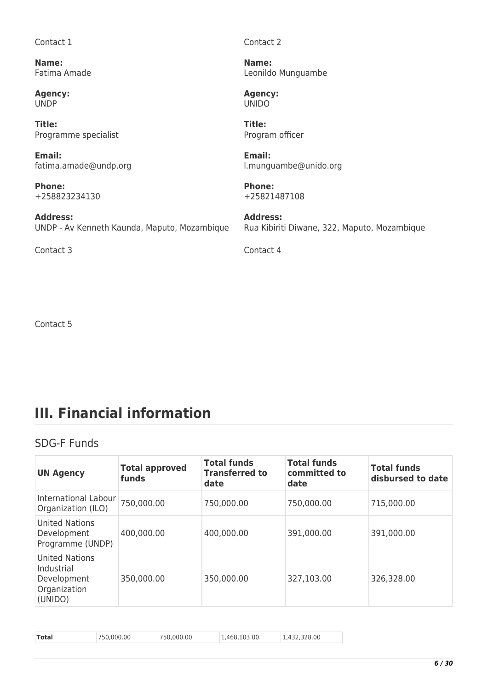Contact 1

**Name:**  Fatima Amade

**Agency:**  UNDP

**Title:**  Programme specialist

**Email:**  fatima.amade@undp.org

**Phone:**  +258823234130

**Address:**  UNDP - Av Kenneth Kaunda, Maputo, Mozambique

Contact 3 Contact 4

Contact 2

**Name:**  Leonildo Munguambe

**Agency:**  UNIDO

**Title:**  Program officer

**Email:**  l.munguambe@unido.org

**Phone:**  +25821487108

**Address:**  Rua Kibiriti Diwane, 322, Maputo, Mozambique

Contact 5

# **III. Financial information**

## SDG-F Funds

| <b>UN Agency</b>                                                       | <b>Total approved</b><br>funds | <b>Total funds</b><br><b>Transferred to</b><br>date | <b>Total funds</b><br>committed to<br>date | <b>Total funds</b><br>disbursed to date |
|------------------------------------------------------------------------|--------------------------------|-----------------------------------------------------|--------------------------------------------|-----------------------------------------|
| International Labour<br>Organization (ILO)                             | 750,000.00                     | 750,000.00                                          | 750,000.00                                 | 715,000.00                              |
| United Nations<br>Development<br>Programme (UNDP)                      | 400,000.00                     | 400,000.00                                          | 391,000.00                                 | 391,000.00                              |
| United Nations<br>Industrial<br>Development<br>Organization<br>(UNIDO) | 350,000.00                     | 350,000.00                                          | 327,103.00                                 | 326,328.00                              |

| 1,432,328.00<br>750.000.00<br>.468.103.00<br>Total<br>.000.00<br>'50 |  |
|----------------------------------------------------------------------|--|
|----------------------------------------------------------------------|--|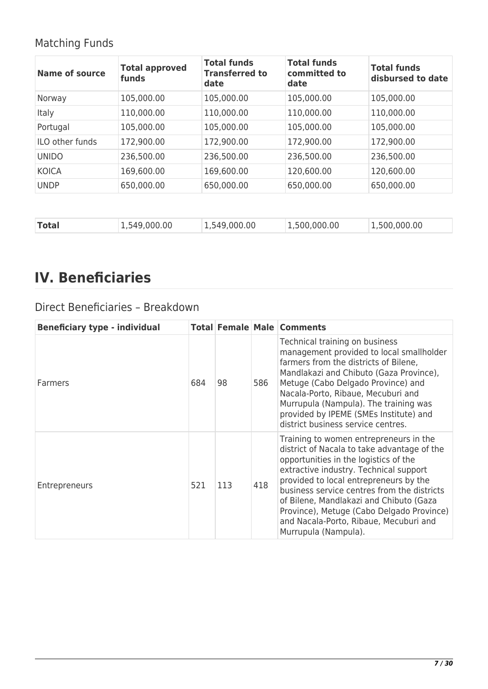## Matching Funds

| Name of source  | <b>Total approved</b><br>funds | <b>Total funds</b><br><b>Transferred to</b><br>date | <b>Total funds</b><br>committed to<br>date | <b>Total funds</b><br>disbursed to date |
|-----------------|--------------------------------|-----------------------------------------------------|--------------------------------------------|-----------------------------------------|
| Norway          | 105,000.00                     | 105,000.00                                          | 105,000.00                                 | 105,000.00                              |
| <b>Italy</b>    | 110,000.00                     | 110,000.00                                          | 110,000.00                                 | 110,000.00                              |
| Portugal        | 105,000.00                     | 105,000.00                                          | 105,000.00                                 | 105,000.00                              |
| ILO other funds | 172,900.00                     | 172,900.00                                          | 172,900.00                                 | 172,900.00                              |
| <b>UNIDO</b>    | 236,500.00                     | 236,500.00                                          | 236,500.00                                 | 236,500.00                              |
| <b>KOICA</b>    | 169,600.00                     | 169,600.00                                          | 120,600.00                                 | 120,600.00                              |
| <b>UNDP</b>     | 650,000.00                     | 650,000.00                                          | 650,000.00                                 | 650,000.00                              |
|                 |                                |                                                     |                                            |                                         |
| <b>Total</b>    | 1,549,000.00                   | 1,549,000.00                                        | 1,500,000.00                               | 1,500,000.00                            |

# **IV. Beneficiaries**

## Direct Beneficiaries – Breakdown

| <b>Beneficiary type - individual</b> |     |     |     | <b>Total Female Male Comments</b>                                                                                                                                                                                                                                                                                                                                                                                           |
|--------------------------------------|-----|-----|-----|-----------------------------------------------------------------------------------------------------------------------------------------------------------------------------------------------------------------------------------------------------------------------------------------------------------------------------------------------------------------------------------------------------------------------------|
| Farmers                              | 684 | 98  | 586 | Technical training on business<br>management provided to local smallholder<br>farmers from the districts of Bilene,<br>Mandlakazi and Chibuto (Gaza Province),<br>Metuge (Cabo Delgado Province) and<br>Nacala-Porto, Ribaue, Mecuburi and<br>Murrupula (Nampula). The training was<br>provided by IPEME (SMEs Institute) and<br>district business service centres.                                                         |
| Entrepreneurs                        | 521 | 113 | 418 | Training to women entrepreneurs in the<br>district of Nacala to take advantage of the<br>opportunities in the logistics of the<br>extractive industry. Technical support<br>provided to local entrepreneurs by the<br>business service centres from the districts<br>of Bilene, Mandlakazi and Chibuto (Gaza<br>Province), Metuge (Cabo Delgado Province)<br>and Nacala-Porto, Ribaue, Mecuburi and<br>Murrupula (Nampula). |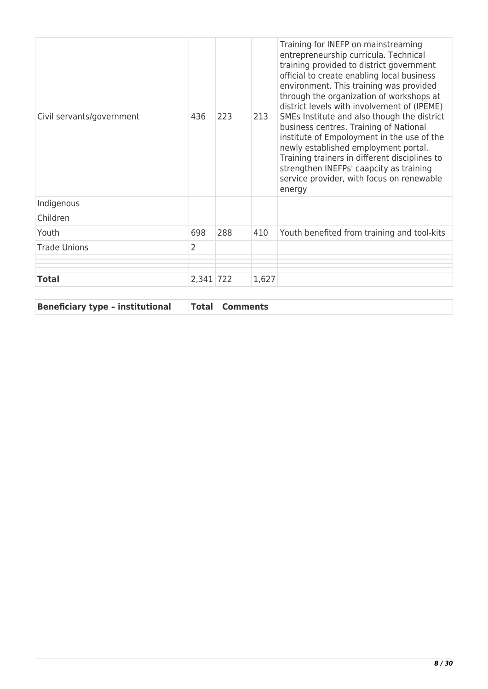| Civil servants/government | 436            | 223 | 213   | Training for INEFP on mainstreaming<br>entrepreneurship curricula. Technical<br>training provided to district government<br>official to create enabling local business<br>environment. This training was provided<br>through the organization of workshops at<br>district levels with involvement of (IPEME)<br>SMEs Institute and also though the district<br>business centres. Training of National<br>institute of Empoloyment in the use of the<br>newly established employment portal.<br>Training trainers in different disciplines to<br>strengthen INEFPs' caapcity as training<br>service provider, with focus on renewable<br>energy |
|---------------------------|----------------|-----|-------|------------------------------------------------------------------------------------------------------------------------------------------------------------------------------------------------------------------------------------------------------------------------------------------------------------------------------------------------------------------------------------------------------------------------------------------------------------------------------------------------------------------------------------------------------------------------------------------------------------------------------------------------|
| Indigenous                |                |     |       |                                                                                                                                                                                                                                                                                                                                                                                                                                                                                                                                                                                                                                                |
| Children                  |                |     |       |                                                                                                                                                                                                                                                                                                                                                                                                                                                                                                                                                                                                                                                |
| Youth                     | 698            | 288 | 410   | Youth benefited from training and tool-kits                                                                                                                                                                                                                                                                                                                                                                                                                                                                                                                                                                                                    |
| <b>Trade Unions</b>       | $\overline{2}$ |     |       |                                                                                                                                                                                                                                                                                                                                                                                                                                                                                                                                                                                                                                                |
| <b>Total</b>              | 2,341 722      |     | 1,627 |                                                                                                                                                                                                                                                                                                                                                                                                                                                                                                                                                                                                                                                |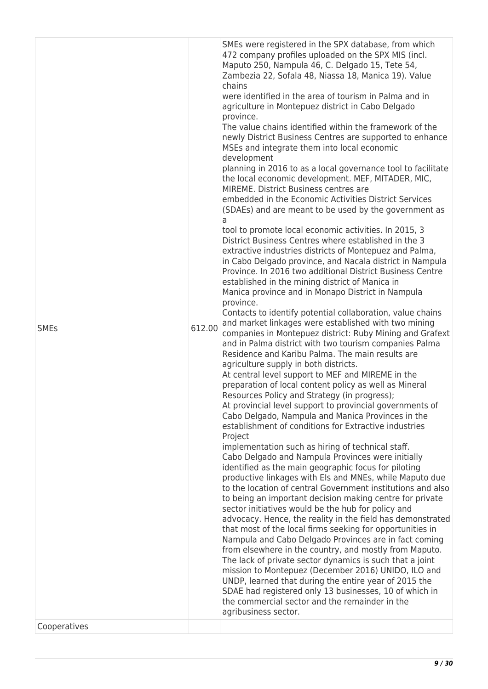| <b>SMEs</b><br>Cooperatives | 612.00 | development<br>planning in 2016 to as a local governance tool to facilitate<br>the local economic development. MEF, MITADER, MIC,<br>MIREME. District Business centres are<br>embedded in the Economic Activities District Services<br>(SDAEs) and are meant to be used by the government as<br>tool to promote local economic activities. In 2015, 3<br>District Business Centres where established in the 3<br>extractive industries districts of Montepuez and Palma,<br>in Cabo Delgado province, and Nacala district in Nampula<br>Province. In 2016 two additional District Business Centre<br>established in the mining district of Manica in<br>Manica province and in Monapo District in Nampula<br>province.<br>Contacts to identify potential collaboration, value chains<br>and market linkages were established with two mining<br>companies in Montepuez district: Ruby Mining and Grafext<br>and in Palma district with two tourism companies Palma<br>Residence and Karibu Palma. The main results are<br>agriculture supply in both districts.<br>At central level support to MEF and MIREME in the<br>preparation of local content policy as well as Mineral<br>Resources Policy and Strategy (in progress);<br>At provincial level support to provincial governments of<br>Cabo Delgado, Nampula and Manica Provinces in the<br>establishment of conditions for Extractive industries<br>Project<br>implementation such as hiring of technical staff.<br>Cabo Delgado and Nampula Provinces were initially<br>identified as the main geographic focus for piloting<br>productive linkages with Els and MNEs, while Maputo due<br>to the location of central Government institutions and also<br>to being an important decision making centre for private<br>sector initiatives would be the hub for policy and<br>advocacy. Hence, the reality in the field has demonstrated<br>that most of the local firms seeking for opportunities in<br>Nampula and Cabo Delgado Provinces are in fact coming<br>from elsewhere in the country, and mostly from Maputo.<br>The lack of private sector dynamics is such that a joint<br>mission to Montepuez (December 2016) UNIDO, ILO and<br>UNDP, learned that during the entire year of 2015 the<br>SDAE had registered only 13 businesses, 10 of which in<br>the commercial sector and the remainder in the<br>agribusiness sector. |
|-----------------------------|--------|-------------------------------------------------------------------------------------------------------------------------------------------------------------------------------------------------------------------------------------------------------------------------------------------------------------------------------------------------------------------------------------------------------------------------------------------------------------------------------------------------------------------------------------------------------------------------------------------------------------------------------------------------------------------------------------------------------------------------------------------------------------------------------------------------------------------------------------------------------------------------------------------------------------------------------------------------------------------------------------------------------------------------------------------------------------------------------------------------------------------------------------------------------------------------------------------------------------------------------------------------------------------------------------------------------------------------------------------------------------------------------------------------------------------------------------------------------------------------------------------------------------------------------------------------------------------------------------------------------------------------------------------------------------------------------------------------------------------------------------------------------------------------------------------------------------------------------------------------------------------------------------------------------------------------------------------------------------------------------------------------------------------------------------------------------------------------------------------------------------------------------------------------------------------------------------------------------------------------------------------------------------------------------------------------------------------------------------------------------------------------------------------------|
|                             |        | SMEs were registered in the SPX database, from which<br>472 company profiles uploaded on the SPX MIS (incl.<br>Maputo 250, Nampula 46, C. Delgado 15, Tete 54,<br>Zambezia 22, Sofala 48, Niassa 18, Manica 19). Value<br>chains<br>were identified in the area of tourism in Palma and in<br>agriculture in Montepuez district in Cabo Delgado<br>province.<br>The value chains identified within the framework of the<br>newly District Business Centres are supported to enhance<br>MSEs and integrate them into local economic                                                                                                                                                                                                                                                                                                                                                                                                                                                                                                                                                                                                                                                                                                                                                                                                                                                                                                                                                                                                                                                                                                                                                                                                                                                                                                                                                                                                                                                                                                                                                                                                                                                                                                                                                                                                                                                              |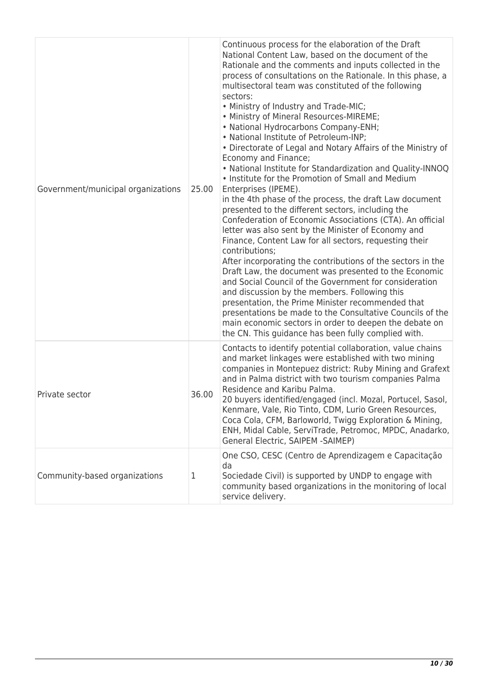| Government/municipal organizations | 25.00 | Continuous process for the elaboration of the Draft<br>National Content Law, based on the document of the<br>Rationale and the comments and inputs collected in the<br>process of consultations on the Rationale. In this phase, a<br>multisectoral team was constituted of the following<br>sectors:<br>. Ministry of Industry and Trade-MIC;<br>• Ministry of Mineral Resources-MIREME;<br>• National Hydrocarbons Company-ENH;<br>• National Institute of Petroleum-INP;<br>• Directorate of Legal and Notary Affairs of the Ministry of<br>Economy and Finance;<br>. National Institute for Standardization and Quality-INNOQ<br>• Institute for the Promotion of Small and Medium<br>Enterprises (IPEME).<br>in the 4th phase of the process, the draft Law document<br>presented to the different sectors, including the<br>Confederation of Economic Associations (CTA). An official<br>letter was also sent by the Minister of Economy and<br>Finance, Content Law for all sectors, requesting their<br>contributions;<br>After incorporating the contributions of the sectors in the<br>Draft Law, the document was presented to the Economic<br>and Social Council of the Government for consideration<br>and discussion by the members. Following this<br>presentation, the Prime Minister recommended that<br>presentations be made to the Consultative Councils of the<br>main economic sectors in order to deepen the debate on<br>the CN. This guidance has been fully complied with. |
|------------------------------------|-------|------------------------------------------------------------------------------------------------------------------------------------------------------------------------------------------------------------------------------------------------------------------------------------------------------------------------------------------------------------------------------------------------------------------------------------------------------------------------------------------------------------------------------------------------------------------------------------------------------------------------------------------------------------------------------------------------------------------------------------------------------------------------------------------------------------------------------------------------------------------------------------------------------------------------------------------------------------------------------------------------------------------------------------------------------------------------------------------------------------------------------------------------------------------------------------------------------------------------------------------------------------------------------------------------------------------------------------------------------------------------------------------------------------------------------------------------------------------------------------------------------|
| Private sector                     | 36.00 | Contacts to identify potential collaboration, value chains<br>and market linkages were established with two mining<br>companies in Montepuez district: Ruby Mining and Grafext<br>and in Palma district with two tourism companies Palma<br>Residence and Karibu Palma.<br>20 buyers identified/engaged (incl. Mozal, Portucel, Sasol,<br>Kenmare, Vale, Rio Tinto, CDM, Lurio Green Resources,<br>Coca Cola, CFM, Barloworld, Twigg Exploration & Mining,<br>ENH, Midal Cable, ServiTrade, Petromoc, MPDC, Anadarko,<br>General Electric, SAIPEM -SAIMEP)                                                                                                                                                                                                                                                                                                                                                                                                                                                                                                                                                                                                                                                                                                                                                                                                                                                                                                                                           |
| Community-based organizations      | 1     | One CSO, CESC (Centro de Aprendizagem e Capacitação<br>da<br>Sociedade Civil) is supported by UNDP to engage with<br>community based organizations in the monitoring of local<br>service delivery.                                                                                                                                                                                                                                                                                                                                                                                                                                                                                                                                                                                                                                                                                                                                                                                                                                                                                                                                                                                                                                                                                                                                                                                                                                                                                                   |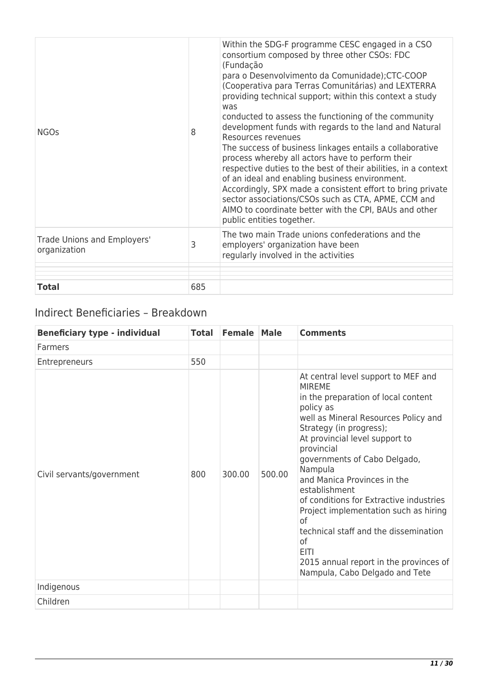| Trade Unions and Employers'<br>organization | 3 | process whereby all actors have to perform their<br>respective duties to the best of their abilities, in a context<br>of an ideal and enabling business environment.<br>Accordingly, SPX made a consistent effort to bring private<br>sector associations/CSOs such as CTA, APME, CCM and<br>AIMO to coordinate better with the CPI, BAUs and other<br>public entities together.<br>The two main Trade unions confederations and the<br>employers' organization have been<br>regularly involved in the activities |  |  |  |  |
|---------------------------------------------|---|-------------------------------------------------------------------------------------------------------------------------------------------------------------------------------------------------------------------------------------------------------------------------------------------------------------------------------------------------------------------------------------------------------------------------------------------------------------------------------------------------------------------|--|--|--|--|
| <b>NGOs</b>                                 | 8 | Within the SDG-F programme CESC engaged in a CSO<br>consortium composed by three other CSOs: FDC<br>(Fundação<br>para o Desenvolvimento da Comunidade); CTC-COOP<br>(Cooperativa para Terras Comunitárias) and LEXTERRA<br>providing technical support; within this context a study<br>was<br>conducted to assess the functioning of the community<br>development funds with regards to the land and Natural<br>Resources revenues<br>The success of business linkages entails a collaborative                    |  |  |  |  |

## Indirect Beneficiaries – Breakdown

| <b>Beneficiary type - individual</b> | <b>Total</b> | <b>Female</b> | <b>Male</b> | <b>Comments</b>                                                                                                                                                                                                                                                                                                                                                                                                                                                                                                                                            |
|--------------------------------------|--------------|---------------|-------------|------------------------------------------------------------------------------------------------------------------------------------------------------------------------------------------------------------------------------------------------------------------------------------------------------------------------------------------------------------------------------------------------------------------------------------------------------------------------------------------------------------------------------------------------------------|
| Farmers                              |              |               |             |                                                                                                                                                                                                                                                                                                                                                                                                                                                                                                                                                            |
| Entrepreneurs                        | 550          |               |             |                                                                                                                                                                                                                                                                                                                                                                                                                                                                                                                                                            |
| Civil servants/government            | 800          | 300.00        | 500.00      | At central level support to MEF and<br><b>MIREME</b><br>in the preparation of local content<br>policy as<br>well as Mineral Resources Policy and<br>Strategy (in progress);<br>At provincial level support to<br>provincial<br>governments of Cabo Delgado,<br>Nampula<br>and Manica Provinces in the<br>establishment<br>of conditions for Extractive industries<br>Project implementation such as hiring<br>0f<br>technical staff and the dissemination<br>of<br><b>EITI</b><br>2015 annual report in the provinces of<br>Nampula, Cabo Delgado and Tete |
| Indigenous                           |              |               |             |                                                                                                                                                                                                                                                                                                                                                                                                                                                                                                                                                            |
| Children                             |              |               |             |                                                                                                                                                                                                                                                                                                                                                                                                                                                                                                                                                            |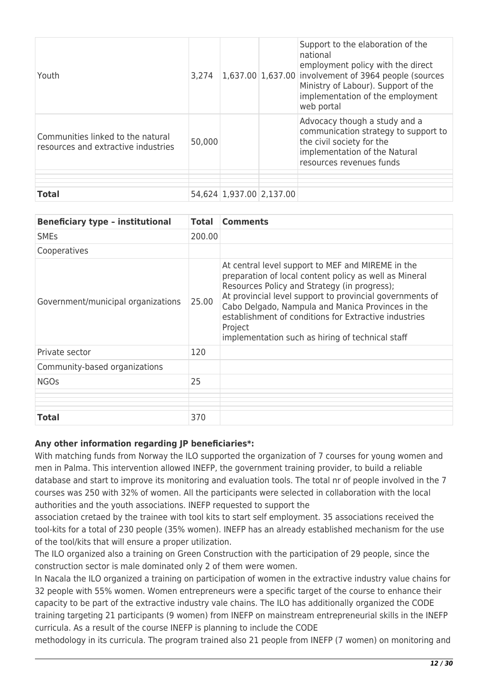| Youth                                                                    | 3,274  |                          | Support to the elaboration of the<br>national<br>employment policy with the direct<br>1,637.00 1,637.00 involvement of 3964 people (sources<br>Ministry of Labour). Support of the<br>implementation of the employment<br>web portal |
|--------------------------------------------------------------------------|--------|--------------------------|--------------------------------------------------------------------------------------------------------------------------------------------------------------------------------------------------------------------------------------|
| Communities linked to the natural<br>resources and extractive industries | 50,000 |                          | Advocacy though a study and a<br>communication strategy to support to<br>the civil society for the<br>implementation of the Natural<br>resources revenues funds                                                                      |
|                                                                          |        |                          |                                                                                                                                                                                                                                      |
|                                                                          |        |                          |                                                                                                                                                                                                                                      |
| <b>Total</b>                                                             |        | 54,624 1,937.00 2,137.00 |                                                                                                                                                                                                                                      |

| <b>Beneficiary type - institutional</b> | <b>Total</b> | <b>Comments</b>                                                                                                                                                                                                                                                                                                                                                                                      |
|-----------------------------------------|--------------|------------------------------------------------------------------------------------------------------------------------------------------------------------------------------------------------------------------------------------------------------------------------------------------------------------------------------------------------------------------------------------------------------|
| <b>SME<sub>S</sub></b>                  | 200.00       |                                                                                                                                                                                                                                                                                                                                                                                                      |
| Cooperatives                            |              |                                                                                                                                                                                                                                                                                                                                                                                                      |
| Government/municipal organizations      | 25.00        | At central level support to MEF and MIREME in the<br>preparation of local content policy as well as Mineral<br>Resources Policy and Strategy (in progress);<br>At provincial level support to provincial governments of<br>Cabo Delgado, Nampula and Manica Provinces in the<br>establishment of conditions for Extractive industries<br>Project<br>implementation such as hiring of technical staff |
| Private sector                          | 120          |                                                                                                                                                                                                                                                                                                                                                                                                      |
| Community-based organizations           |              |                                                                                                                                                                                                                                                                                                                                                                                                      |
| <b>NGOs</b>                             | 25           |                                                                                                                                                                                                                                                                                                                                                                                                      |
|                                         |              |                                                                                                                                                                                                                                                                                                                                                                                                      |
| <b>Total</b>                            | 370          |                                                                                                                                                                                                                                                                                                                                                                                                      |

## **Any other information regarding JP beneficiaries\*:**

With matching funds from Norway the ILO supported the organization of 7 courses for young women and men in Palma. This intervention allowed INEFP, the government training provider, to build a reliable database and start to improve its monitoring and evaluation tools. The total nr of people involved in the 7 courses was 250 with 32% of women. All the participants were selected in collaboration with the local authorities and the youth associations. INEFP requested to support the

association cretaed by the trainee with tool kits to start self employment. 35 associations received the tool-kits for a total of 230 people (35% women). INEFP has an already established mechanism for the use of the tool/kits that will ensure a proper utilization.

The ILO organized also a training on Green Construction with the participation of 29 people, since the construction sector is male dominated only 2 of them were women.

In Nacala the ILO organized a training on participation of women in the extractive industry value chains for 32 people with 55% women. Women entrepreneurs were a specific target of the course to enhance their capacity to be part of the extractive industry vale chains. The ILO has additionally organized the CODE training targeting 21 participants (9 women) from INEFP on mainstream entrepreneurial skills in the INEFP curricula. As a result of the course INEFP is planning to include the CODE

methodology in its curricula. The program trained also 21 people from INEFP (7 women) on monitoring and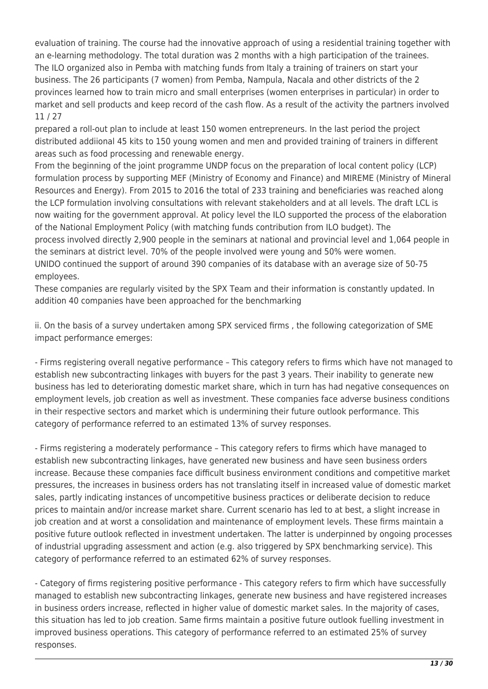evaluation of training. The course had the innovative approach of using a residential training together with an e-learning methodology. The total duration was 2 months with a high participation of the trainees. The ILO organized also in Pemba with matching funds from Italy a training of trainers on start your business. The 26 participants (7 women) from Pemba, Nampula, Nacala and other districts of the 2 provinces learned how to train micro and small enterprises (women enterprises in particular) in order to market and sell products and keep record of the cash flow. As a result of the activity the partners involved 11 / 27

prepared a roll-out plan to include at least 150 women entrepreneurs. In the last period the project distributed addiional 45 kits to 150 young women and men and provided training of trainers in different areas such as food processing and renewable energy.

From the beginning of the joint programme UNDP focus on the preparation of local content policy (LCP) formulation process by supporting MEF (Ministry of Economy and Finance) and MIREME (Ministry of Mineral Resources and Energy). From 2015 to 2016 the total of 233 training and beneficiaries was reached along the LCP formulation involving consultations with relevant stakeholders and at all levels. The draft LCL is now waiting for the government approval. At policy level the ILO supported the process of the elaboration of the National Employment Policy (with matching funds contribution from ILO budget). The process involved directly 2,900 people in the seminars at national and provincial level and 1,064 people in the seminars at district level. 70% of the people involved were young and 50% were women. UNIDO continued the support of around 390 companies of its database with an average size of 50-75 employees.

These companies are regularly visited by the SPX Team and their information is constantly updated. In addition 40 companies have been approached for the benchmarking

ii. On the basis of a survey undertaken among SPX serviced firms , the following categorization of SME impact performance emerges:

- Firms registering overall negative performance – This category refers to firms which have not managed to establish new subcontracting linkages with buyers for the past 3 years. Their inability to generate new business has led to deteriorating domestic market share, which in turn has had negative consequences on employment levels, job creation as well as investment. These companies face adverse business conditions in their respective sectors and market which is undermining their future outlook performance. This category of performance referred to an estimated 13% of survey responses.

- Firms registering a moderately performance – This category refers to firms which have managed to establish new subcontracting linkages, have generated new business and have seen business orders increase. Because these companies face difficult business environment conditions and competitive market pressures, the increases in business orders has not translating itself in increased value of domestic market sales, partly indicating instances of uncompetitive business practices or deliberate decision to reduce prices to maintain and/or increase market share. Current scenario has led to at best, a slight increase in job creation and at worst a consolidation and maintenance of employment levels. These firms maintain a positive future outlook reflected in investment undertaken. The latter is underpinned by ongoing processes of industrial upgrading assessment and action (e.g. also triggered by SPX benchmarking service). This category of performance referred to an estimated 62% of survey responses.

- Category of firms registering positive performance - This category refers to firm which have successfully managed to establish new subcontracting linkages, generate new business and have registered increases in business orders increase, reflected in higher value of domestic market sales. In the majority of cases, this situation has led to job creation. Same firms maintain a positive future outlook fuelling investment in improved business operations. This category of performance referred to an estimated 25% of survey responses.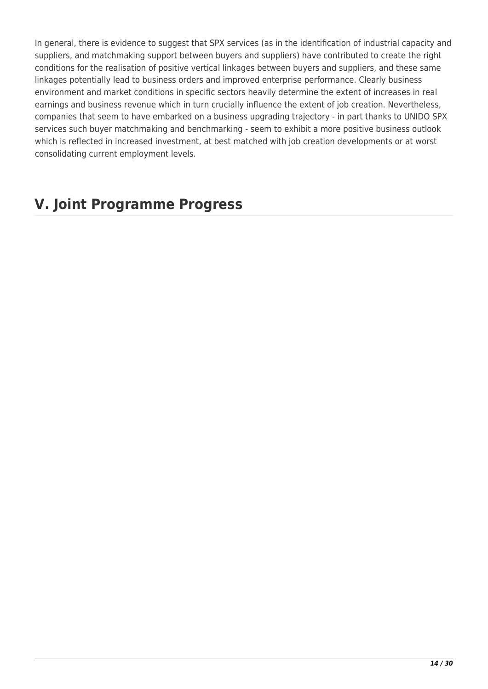In general, there is evidence to suggest that SPX services (as in the identification of industrial capacity and suppliers, and matchmaking support between buyers and suppliers) have contributed to create the right conditions for the realisation of positive vertical linkages between buyers and suppliers, and these same linkages potentially lead to business orders and improved enterprise performance. Clearly business environment and market conditions in specific sectors heavily determine the extent of increases in real earnings and business revenue which in turn crucially influence the extent of job creation. Nevertheless, companies that seem to have embarked on a business upgrading trajectory - in part thanks to UNIDO SPX services such buyer matchmaking and benchmarking - seem to exhibit a more positive business outlook which is reflected in increased investment, at best matched with job creation developments or at worst consolidating current employment levels.

## **V. Joint Programme Progress**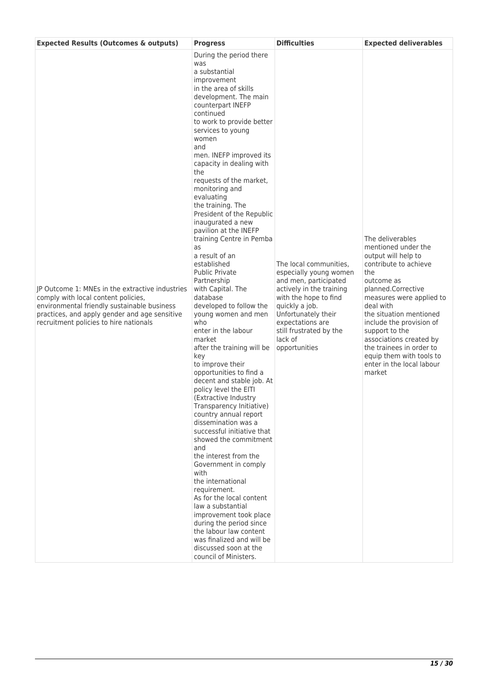| <b>Expected Results (Outcomes &amp; outputs)</b>                                                                                                                                                                                 | <b>Progress</b>                                                                                                                                                                                                                                                                                                                                                                                                                                                                                                                                                                                                                                                                                                                                                                                                                                                                                                                                                                                                                                                                                                                                                                                                                                                                   | <b>Difficulties</b>                                                                                                                                                                                                                                | <b>Expected deliverables</b>                                                                                                                                                                                                                                                                                                                                                   |
|----------------------------------------------------------------------------------------------------------------------------------------------------------------------------------------------------------------------------------|-----------------------------------------------------------------------------------------------------------------------------------------------------------------------------------------------------------------------------------------------------------------------------------------------------------------------------------------------------------------------------------------------------------------------------------------------------------------------------------------------------------------------------------------------------------------------------------------------------------------------------------------------------------------------------------------------------------------------------------------------------------------------------------------------------------------------------------------------------------------------------------------------------------------------------------------------------------------------------------------------------------------------------------------------------------------------------------------------------------------------------------------------------------------------------------------------------------------------------------------------------------------------------------|----------------------------------------------------------------------------------------------------------------------------------------------------------------------------------------------------------------------------------------------------|--------------------------------------------------------------------------------------------------------------------------------------------------------------------------------------------------------------------------------------------------------------------------------------------------------------------------------------------------------------------------------|
| IP Outcome 1: MNEs in the extractive industries<br>comply with local content policies,<br>environmental friendly sustainable business<br>practices, and apply gender and age sensitive<br>recruitment policies to hire nationals | was<br>a substantial<br>improvement<br>in the area of skills<br>development. The main<br>counterpart INEFP<br>continued<br>to work to provide better<br>services to young<br>women<br>and<br>men. INEFP improved its<br>capacity in dealing with<br>the<br>requests of the market,<br>monitoring and<br>evaluating<br>the training. The<br>President of the Republic<br>inaugurated a new<br>pavilion at the INEFP<br>training Centre in Pemba<br>as<br>a result of an<br>established<br><b>Public Private</b><br>Partnership<br>with Capital. The<br>database<br>developed to follow the<br>young women and men<br>who<br>enter in the labour<br>market<br>after the training will be<br>key<br>to improve their<br>opportunities to find a<br>decent and stable job. At<br>policy level the EITI<br>(Extractive Industry<br>Transparency Initiative)<br>country annual report<br>dissemination was a<br>successful initiative that<br>showed the commitment<br>and<br>the interest from the<br>Government in comply<br>with<br>the international<br>requirement.<br>As for the local content<br>law a substantial<br>improvement took place<br>during the period since<br>the labour law content<br>was finalized and will be<br>discussed soon at the<br>council of Ministers. | The local communities,<br>especially young women<br>and men, participated<br>actively in the training<br>with the hope to find<br>quickly a job.<br>Unfortunately their<br>expectations are<br>still frustrated by the<br>lack of<br>opportunities | The deliverables<br>mentioned under the<br>output will help to<br>contribute to achieve<br>the<br>outcome as<br>planned.Corrective<br>measures were applied to<br>deal with<br>the situation mentioned<br>include the provision of<br>support to the<br>associations created by<br>the trainees in order to<br>equip them with tools to<br>enter in the local labour<br>market |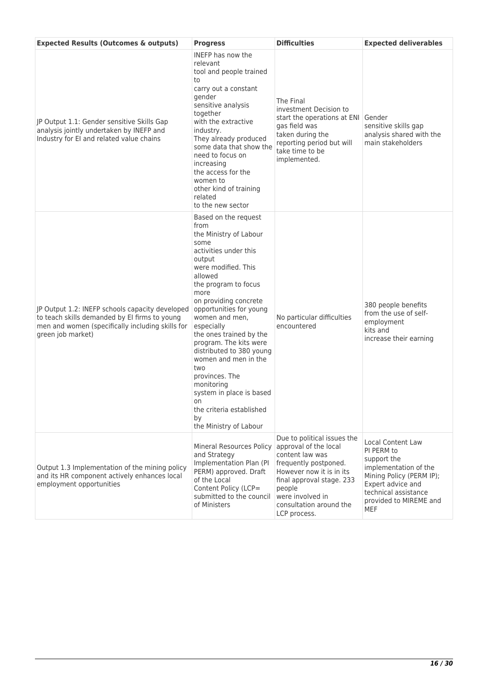| <b>Expected Results (Outcomes &amp; outputs)</b>                                                                                                                          | <b>Progress</b>                                                                                                                                                                                                                                                                                                                                                                                                                                                                                       | <b>Difficulties</b>                                                                                                                                                                                                                | <b>Expected deliverables</b>                                                                                                                                                                    |
|---------------------------------------------------------------------------------------------------------------------------------------------------------------------------|-------------------------------------------------------------------------------------------------------------------------------------------------------------------------------------------------------------------------------------------------------------------------------------------------------------------------------------------------------------------------------------------------------------------------------------------------------------------------------------------------------|------------------------------------------------------------------------------------------------------------------------------------------------------------------------------------------------------------------------------------|-------------------------------------------------------------------------------------------------------------------------------------------------------------------------------------------------|
| JP Output 1.1: Gender sensitive Skills Gap<br>analysis jointly undertaken by INEFP and<br>Industry for EI and related value chains                                        | <b>INEFP</b> has now the<br>relevant<br>tool and people trained<br>to<br>carry out a constant<br>gender<br>sensitive analysis<br>together<br>with the extractive<br>industry.<br>They already produced<br>some data that show the<br>need to focus on<br>increasing<br>the access for the<br>women to<br>other kind of training<br>related<br>to the new sector                                                                                                                                       | The Final<br>investment Decision to<br>start the operations at ENI Gender<br>gas field was<br>taken during the<br>reporting period but will<br>take time to be<br>implemented.                                                     | sensitive skills gap<br>analysis shared with the<br>main stakeholders                                                                                                                           |
| JP Output 1.2: INEFP schools capacity developed<br>to teach skills demanded by EI firms to young<br>men and women (specifically including skills for<br>green job market) | Based on the request<br>from<br>the Ministry of Labour<br>some<br>activities under this<br>output<br>were modified. This<br>allowed<br>the program to focus<br>more<br>on providing concrete<br>opportunities for young<br>women and men,<br>especially<br>the ones trained by the<br>program. The kits were<br>distributed to 380 young<br>women and men in the<br>two<br>provinces. The<br>monitoring<br>system in place is based<br>on<br>the criteria established<br>by<br>the Ministry of Labour | No particular difficulties<br>encountered                                                                                                                                                                                          | 380 people benefits<br>from the use of self-<br>employment<br>kits and<br>increase their earning                                                                                                |
| Output 1.3 Implementation of the mining policy<br>and its HR component actively enhances local<br>employment opportunities                                                | Mineral Resources Policy<br>and Strategy<br>Implementation Plan (Pl<br>PERM) approved. Draft<br>of the Local<br>Content Policy (LCP=<br>submitted to the council<br>of Ministers                                                                                                                                                                                                                                                                                                                      | Due to political issues the<br>approval of the local<br>content law was<br>frequently postponed.<br>However now it is in its<br>final approval stage. 233<br>people<br>were involved in<br>consultation around the<br>LCP process. | <b>Local Content Law</b><br>PI PERM to<br>support the<br>implementation of the<br>Mining Policy (PERM IP);<br>Expert advice and<br>technical assistance<br>provided to MIREME and<br><b>MEF</b> |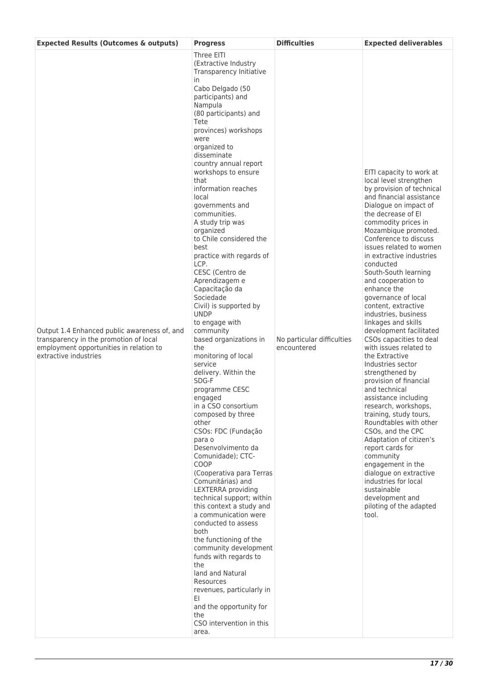| <b>Expected Results (Outcomes &amp; outputs)</b>                                                                                                           | <b>Progress</b>                                                                                                                                                                                                                                                                                                                                                                                                                                                                                                                                                                                                                                                                                                                                                                                                                                                                                                                                                                                                                                                                                                                                                                                                                                                                                        | <b>Difficulties</b>                       | <b>Expected deliverables</b>                                                                                                                                                                                                                                                                                                                                                                                                                                                                                                                                                                                                                                                                                                                                                                                                                                                                                                                                                            |
|------------------------------------------------------------------------------------------------------------------------------------------------------------|--------------------------------------------------------------------------------------------------------------------------------------------------------------------------------------------------------------------------------------------------------------------------------------------------------------------------------------------------------------------------------------------------------------------------------------------------------------------------------------------------------------------------------------------------------------------------------------------------------------------------------------------------------------------------------------------------------------------------------------------------------------------------------------------------------------------------------------------------------------------------------------------------------------------------------------------------------------------------------------------------------------------------------------------------------------------------------------------------------------------------------------------------------------------------------------------------------------------------------------------------------------------------------------------------------|-------------------------------------------|-----------------------------------------------------------------------------------------------------------------------------------------------------------------------------------------------------------------------------------------------------------------------------------------------------------------------------------------------------------------------------------------------------------------------------------------------------------------------------------------------------------------------------------------------------------------------------------------------------------------------------------------------------------------------------------------------------------------------------------------------------------------------------------------------------------------------------------------------------------------------------------------------------------------------------------------------------------------------------------------|
| Output 1.4 Enhanced public awareness of, and<br>transparency in the promotion of local<br>employment opportunities in relation to<br>extractive industries | Three EITI<br>(Extractive Industry<br>Transparency Initiative<br>in.<br>Cabo Delgado (50<br>participants) and<br>Nampula<br>(80 participants) and<br>Tete<br>provinces) workshops<br>were<br>organized to<br>disseminate<br>country annual report<br>workshops to ensure<br>that<br>information reaches<br>local<br>governments and<br>communities.<br>A study trip was<br>organized<br>to Chile considered the<br>best<br>practice with regards of<br>LCP.<br>CESC (Centro de<br>Aprendizagem e<br>Capacitação da<br>Sociedade<br>Civil) is supported by<br><b>UNDP</b><br>to engage with<br>community<br>based organizations in<br>the<br>monitoring of local<br>service<br>delivery. Within the<br>SDG-F<br>programme CESC<br>engaged<br>in a CSO consortium<br>composed by three<br>other<br>CSOs: FDC (Fundação<br>para o<br>Desenvolvimento da<br>Comunidade); CTC-<br>COOP<br>(Cooperativa para Terras<br>Comunitárias) and<br>LEXTERRA providing<br>technical support; within<br>this context a study and<br>a communication were<br>conducted to assess<br>both<br>the functioning of the<br>community development<br>funds with regards to<br>the<br>land and Natural<br>Resources<br>revenues, particularly in<br>EI<br>and the opportunity for<br>the<br>CSO intervention in this<br>area. | No particular difficulties<br>encountered | EITI capacity to work at<br>local level strengthen<br>by provision of technical<br>and financial assistance<br>Dialogue on impact of<br>the decrease of EI<br>commodity prices in<br>Mozambique promoted.<br>Conference to discuss<br>issues related to women<br>in extractive industries<br>conducted<br>South-South learning<br>and cooperation to<br>enhance the<br>governance of local<br>content, extractive<br>industries, business<br>linkages and skills<br>development facilitated<br>CSOs capacities to deal<br>with issues related to<br>the Extractive<br>Industries sector<br>strengthened by<br>provision of financial<br>and technical<br>assistance including<br>research, workshops,<br>training, study tours,<br>Roundtables with other<br>CSOs, and the CPC<br>Adaptation of citizen's<br>report cards for<br>community<br>engagement in the<br>dialogue on extractive<br>industries for local<br>sustainable<br>development and<br>piloting of the adapted<br>tool. |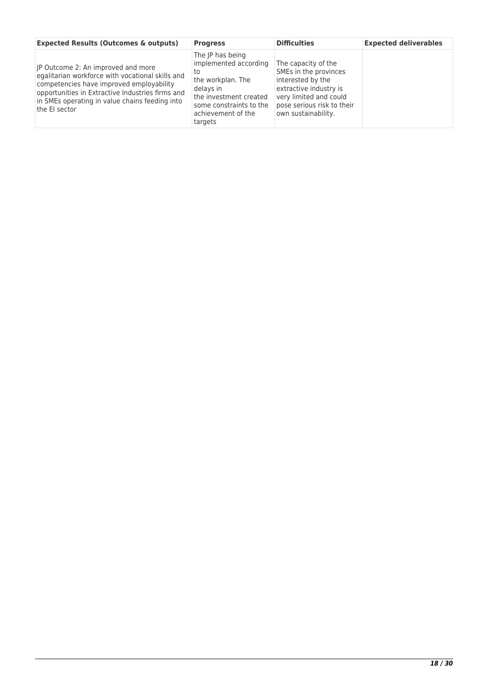| <b>Expected Results (Outcomes &amp; outputs)</b>                                                                                                                                                                                                          | <b>Progress</b>                                                                                                                                                         | <b>Difficulties</b>                                                                                                                                                        | <b>Expected deliverables</b> |
|-----------------------------------------------------------------------------------------------------------------------------------------------------------------------------------------------------------------------------------------------------------|-------------------------------------------------------------------------------------------------------------------------------------------------------------------------|----------------------------------------------------------------------------------------------------------------------------------------------------------------------------|------------------------------|
| JP Outcome 2: An improved and more<br>egalitarian workforce with vocational skills and<br>competencies have improved employability<br>opportunities in Extractive Industries firms and<br>in SMEs operating in value chains feeding into<br>the EI sector | The IP has being<br>implemented according<br>το<br>the workplan. The<br>delays in<br>the investment created<br>some constraints to the<br>achievement of the<br>targets | The capacity of the<br>SMEs in the provinces<br>interested by the<br>extractive industry is<br>very limited and could<br>pose serious risk to their<br>own sustainability. |                              |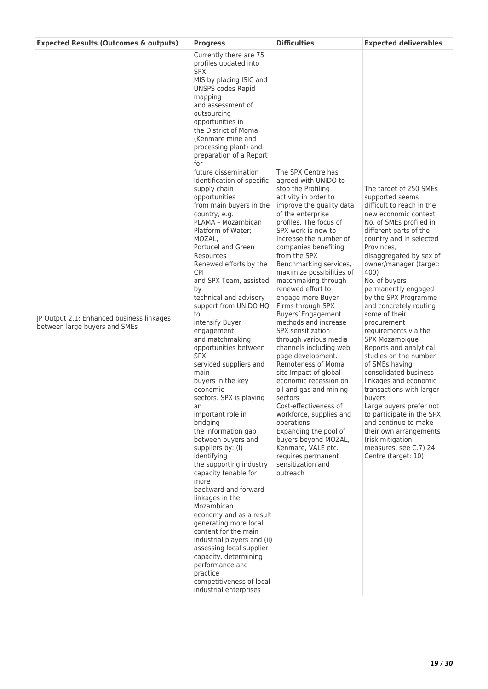| Currently there are 75<br>profiles updated into<br><b>SPX</b><br>MIS by placing ISIC and<br><b>UNSPS codes Rapid</b><br>mapping<br>and assessment of<br>outsourcing<br>opportunities in<br>the District of Moma<br>(Kenmare mine and<br>processing plant) and<br>preparation of a Report<br>for                                                                                                                                                                                                                                                                                                                                                                                                                                                                                                                                                                                                                                                                                                                                                                                                                                                                                                                                                                                                                                                                                                                                                                                                                                                                                                                                                                                                                                                                                                                                                                                                                                                                                                                                                                                                                                                                                                                                                                                                                                                                                                                                                                                                                                                                                                                                                                                                                                                                                  | <b>Expected Results (Outcomes &amp; outputs)</b> | <b>Progress</b> | <b>Difficulties</b> | <b>Expected deliverables</b> |
|----------------------------------------------------------------------------------------------------------------------------------------------------------------------------------------------------------------------------------------------------------------------------------------------------------------------------------------------------------------------------------------------------------------------------------------------------------------------------------------------------------------------------------------------------------------------------------------------------------------------------------------------------------------------------------------------------------------------------------------------------------------------------------------------------------------------------------------------------------------------------------------------------------------------------------------------------------------------------------------------------------------------------------------------------------------------------------------------------------------------------------------------------------------------------------------------------------------------------------------------------------------------------------------------------------------------------------------------------------------------------------------------------------------------------------------------------------------------------------------------------------------------------------------------------------------------------------------------------------------------------------------------------------------------------------------------------------------------------------------------------------------------------------------------------------------------------------------------------------------------------------------------------------------------------------------------------------------------------------------------------------------------------------------------------------------------------------------------------------------------------------------------------------------------------------------------------------------------------------------------------------------------------------------------------------------------------------------------------------------------------------------------------------------------------------------------------------------------------------------------------------------------------------------------------------------------------------------------------------------------------------------------------------------------------------------------------------------------------------------------------------------------------------|--------------------------------------------------|-----------------|---------------------|------------------------------|
| future dissemination<br>The SPX Centre has<br>Identification of specific<br>agreed with UNIDO to<br>supply chain<br>stop the Profiling<br>The target of 250 SMEs<br>opportunities<br>activity in order to<br>supported seems<br>from main buyers in the<br>improve the quality data<br>difficult to reach in the<br>of the enterprise<br>new economic context<br>country, e.g.<br>PLAMA - Mozambican<br>profiles. The focus of<br>No. of SMEs profiled in<br>SPX work is now to<br>Platform of Water;<br>different parts of the<br>MOZAL,<br>increase the number of<br>country and in selected<br>Portucel and Green<br>Provinces,<br>companies benefiting<br>from the SPX<br>disaggregated by sex of<br>Resources<br>Renewed efforts by the<br>Benchmarking services,<br>owner/manager (target:<br><b>CPI</b><br>maximize possibilities of<br>400)<br>matchmaking through<br>and SPX Team, assisted<br>No. of buyers<br>renewed effort to<br>permanently engaged<br>by<br>technical and advisory<br>engage more Buyer<br>by the SPX Programme<br>support from UNIDO HQ<br>Firms through SPX<br>and concretely routing<br>some of their<br>Buyers Engagement<br>to<br>JP Output 2.1: Enhanced business linkages<br>methods and increase<br>intensify Buyer<br>procurement<br>between large buyers and SMEs<br>SPX sensitization<br>engagement<br>requirements via the<br>and matchmaking<br>through various media<br>SPX Mozambique<br>opportunities between<br>channels including web<br>Reports and analytical<br><b>SPX</b><br>studies on the number<br>page development.<br>of SMEs having<br>serviced suppliers and<br>Remoteness of Moma<br>main<br>site Impact of global<br>consolidated business<br>buyers in the key<br>economic recession on<br>linkages and economic<br>oil and gas and mining<br>transactions with larger<br>economic<br>sectors. SPX is playing<br>sectors<br>buyers<br>Cost-effectiveness of<br>Large buyers prefer not<br>an<br>important role in<br>workforce, supplies and<br>to participate in the SPX<br>and continue to make<br>bridging<br>operations<br>Expanding the pool of<br>the information gap<br>their own arrangements<br>between buyers and<br>buyers beyond MOZAL,<br>(risk mitigation<br>Kenmare, VALE etc.<br>suppliers by: (i)<br>measures, see C.7) 24<br>identifying<br>requires permanent<br>Centre (target: 10)<br>the supporting industry<br>sensitization and<br>capacity tenable for<br>outreach<br>more<br>backward and forward<br>linkages in the<br>Mozambican<br>economy and as a result<br>generating more local<br>content for the main<br>industrial players and (ii)<br>assessing local supplier<br>capacity, determining<br>performance and<br>practice<br>competitiveness of local<br>industrial enterprises |                                                  |                 |                     |                              |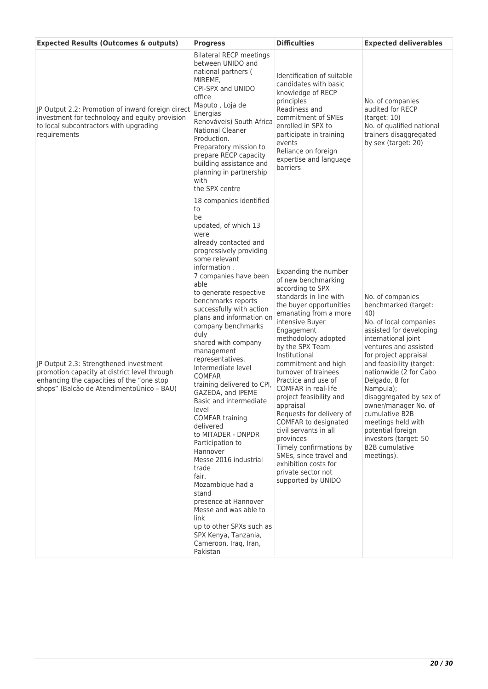| <b>Expected Results (Outcomes &amp; outputs)</b>                                                                                                                                 | <b>Progress</b>                                                                                                                                                                                                                                                                                                                                                                                                                                                                                                                                                                                                                                                                                                                                                                                                                              | <b>Difficulties</b>                                                                                                                                                                                                                                                                                                                                                                                                                                                                                                                                                                                      | <b>Expected deliverables</b>                                                                                                                                                                                                                                                                                                                                                                                                                       |
|----------------------------------------------------------------------------------------------------------------------------------------------------------------------------------|----------------------------------------------------------------------------------------------------------------------------------------------------------------------------------------------------------------------------------------------------------------------------------------------------------------------------------------------------------------------------------------------------------------------------------------------------------------------------------------------------------------------------------------------------------------------------------------------------------------------------------------------------------------------------------------------------------------------------------------------------------------------------------------------------------------------------------------------|----------------------------------------------------------------------------------------------------------------------------------------------------------------------------------------------------------------------------------------------------------------------------------------------------------------------------------------------------------------------------------------------------------------------------------------------------------------------------------------------------------------------------------------------------------------------------------------------------------|----------------------------------------------------------------------------------------------------------------------------------------------------------------------------------------------------------------------------------------------------------------------------------------------------------------------------------------------------------------------------------------------------------------------------------------------------|
| JP Output 2.2: Promotion of inward foreign direct<br>investment for technology and equity provision<br>to local subcontractors with upgrading<br>requirements                    | <b>Bilateral RECP meetings</b><br>between UNIDO and<br>national partners (<br>MIREME,<br>CPI-SPX and UNIDO<br>office<br>Maputo, Loja de<br>Energias<br>Renováveis) South Africa<br><b>National Cleaner</b><br>Production.<br>Preparatory mission to<br>prepare RECP capacity<br>building assistance and<br>planning in partnership<br>with<br>the SPX centre                                                                                                                                                                                                                                                                                                                                                                                                                                                                                 | Identification of suitable<br>candidates with basic<br>knowledge of RECP<br>principles<br>Readiness and<br>commitment of SMEs<br>enrolled in SPX to<br>participate in training<br>events<br>Reliance on foreign<br>expertise and language<br>barriers                                                                                                                                                                                                                                                                                                                                                    | No. of companies<br>audited for RECP<br>(target: 10)<br>No. of qualified national<br>trainers disaggregated<br>by sex (target: 20)                                                                                                                                                                                                                                                                                                                 |
| JP Output 2.3: Strengthened investment<br>promotion capacity at district level through<br>enhancing the capacities of the "one stop<br>shops" (Balcão de AtendimentoUnico - BAU) | 18 companies identified<br>to<br>be<br>updated, of which 13<br>were<br>already contacted and<br>progressively providing<br>some relevant<br>information.<br>7 companies have been<br>able<br>to generate respective<br>benchmarks reports<br>successfully with action<br>plans and information on<br>company benchmarks<br>duly<br>shared with company<br>management<br>representatives.<br>Intermediate level<br><b>COMFAR</b><br>training delivered to CPI,<br>GAZEDA, and IPEME<br>Basic and intermediate<br>level<br><b>COMFAR training</b><br>delivered<br>to MITADER - DNPDR<br>Participation to<br>Hannover<br>Messe 2016 industrial<br>trade<br>fair.<br>Mozambique had a<br>stand<br>presence at Hannover<br>Messe and was able to<br>link<br>up to other SPXs such as<br>SPX Kenya, Tanzania,<br>Cameroon, Iraq, Iran,<br>Pakistan | Expanding the number<br>of new benchmarking<br>according to SPX<br>standards in line with<br>the buyer opportunities<br>emanating from a more<br>intensive Buyer<br>Engagement<br>methodology adopted<br>by the SPX Team<br>Institutional<br>commitment and high<br>turnover of trainees<br>Practice and use of<br><b>COMFAR</b> in real-life<br>project feasibility and<br>appraisal<br>Requests for delivery of<br>COMFAR to designated<br>civil servants in all<br>provinces<br>Timely confirmations by<br>SMEs, since travel and<br>exhibition costs for<br>private sector not<br>supported by UNIDO | No. of companies<br>benchmarked (target:<br>40)<br>No. of local companies<br>assisted for developing<br>international joint<br>ventures and assisted<br>for project appraisal<br>and feasibility (target:<br>nationwide (2 for Cabo<br>Delgado, 8 for<br>Nampula);<br>disaggregated by sex of<br>owner/manager No. of<br>cumulative B2B<br>meetings held with<br>potential foreign<br>investors (target: 50<br><b>B2B</b> cumulative<br>meetings). |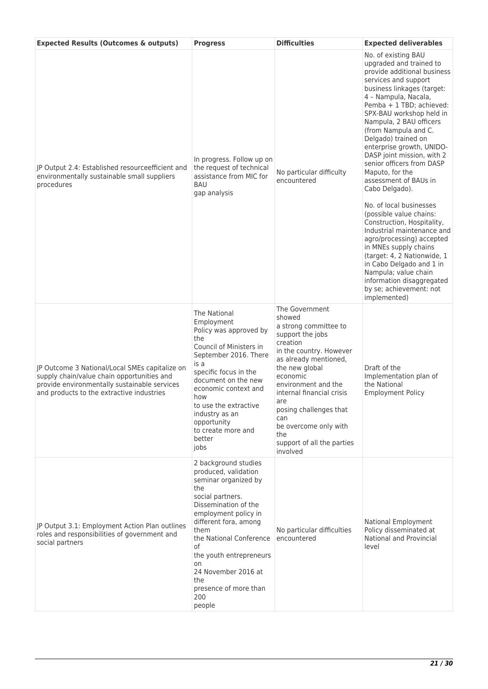| <b>Expected Results (Outcomes &amp; outputs)</b>                                                                                                                                          | <b>Progress</b>                                                                                                                                                                                                                                                                                                            | <b>Difficulties</b>                                                                                                                                                                                                                                                                                                                       | <b>Expected deliverables</b>                                                                                                                                                                                                                                                                                                                                                                                                                                                                                                                                                                                                                                                                                                                                                           |
|-------------------------------------------------------------------------------------------------------------------------------------------------------------------------------------------|----------------------------------------------------------------------------------------------------------------------------------------------------------------------------------------------------------------------------------------------------------------------------------------------------------------------------|-------------------------------------------------------------------------------------------------------------------------------------------------------------------------------------------------------------------------------------------------------------------------------------------------------------------------------------------|----------------------------------------------------------------------------------------------------------------------------------------------------------------------------------------------------------------------------------------------------------------------------------------------------------------------------------------------------------------------------------------------------------------------------------------------------------------------------------------------------------------------------------------------------------------------------------------------------------------------------------------------------------------------------------------------------------------------------------------------------------------------------------------|
| JP Output 2.4: Established resourceefficient and<br>environmentally sustainable small suppliers<br>procedures                                                                             | In progress. Follow up on<br>the request of technical<br>assistance from MIC for<br>BAU<br>gap analysis                                                                                                                                                                                                                    | No particular difficulty<br>encountered                                                                                                                                                                                                                                                                                                   | No. of existing BAU<br>upgraded and trained to<br>provide additional business<br>services and support<br>business linkages (target:<br>4 - Nampula, Nacala,<br>Pemba + 1 TBD; achieved:<br>SPX-BAU workshop held in<br>Nampula, 2 BAU officers<br>(from Nampula and C.<br>Delgado) trained on<br>enterprise growth, UNIDO-<br>DASP joint mission, with 2<br>senior officers from DASP<br>Maputo, for the<br>assessment of BAUs in<br>Cabo Delgado).<br>No. of local businesses<br>(possible value chains:<br>Construction, Hospitality,<br>Industrial maintenance and<br>agro/processing) accepted<br>in MNEs supply chains<br>(target: 4, 2 Nationwide, 1<br>in Cabo Delgado and 1 in<br>Nampula; value chain<br>information disaggregated<br>by se; achievement: not<br>implemented) |
| JP Outcome 3 National/Local SMEs capitalize on<br>supply chain/value chain opportunities and<br>provide environmentally sustainable services<br>and products to the extractive industries | The National<br>Employment<br>Policy was approved by<br>the<br>Council of Ministers in<br>September 2016. There<br>is a<br>specific focus in the<br>document on the new<br>economic context and<br>how<br>to use the extractive<br>industry as an<br>opportunity<br>to create more and<br>better<br>jobs                   | The Government<br>showed<br>a strong committee to<br>support the jobs<br>creation<br>in the country. However<br>as already mentioned,<br>the new global<br>economic<br>environment and the<br>internal financial crisis<br>are<br>posing challenges that<br>can<br>be overcome only with<br>the<br>support of all the parties<br>involved | Draft of the<br>Implementation plan of<br>the National<br><b>Employment Policy</b>                                                                                                                                                                                                                                                                                                                                                                                                                                                                                                                                                                                                                                                                                                     |
| JP Output 3.1: Employment Action Plan outlines<br>roles and responsibilities of government and<br>social partners                                                                         | 2 background studies<br>produced, validation<br>seminar organized by<br>the<br>social partners.<br>Dissemination of the<br>employment policy in<br>different fora, among<br>them<br>the National Conference<br>of<br>the youth entrepreneurs<br>on<br>24 November 2016 at<br>the<br>presence of more than<br>200<br>people | No particular difficulties<br>encountered                                                                                                                                                                                                                                                                                                 | National Employment<br>Policy disseminated at<br><b>National and Provincial</b><br>level                                                                                                                                                                                                                                                                                                                                                                                                                                                                                                                                                                                                                                                                                               |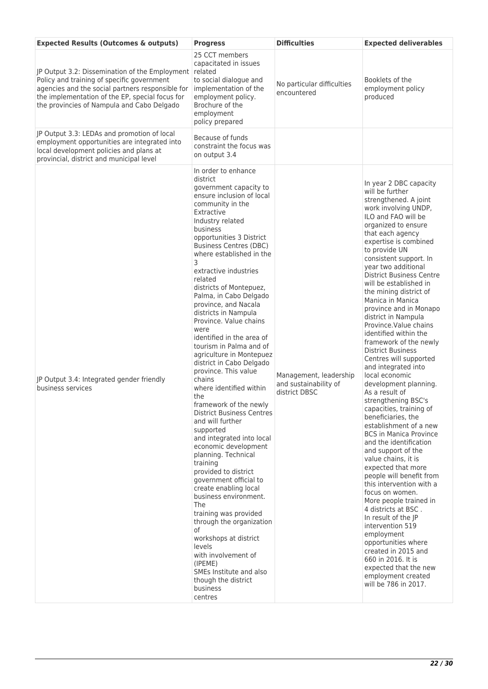| <b>Expected Results (Outcomes &amp; outputs)</b>                                                                                                                                                                                                  | <b>Progress</b>                                                                                                                                                                                                                                                                                                                                                                                                                                                                                                                                                                                                                                                                                                                                                                                                                                                                                                                                                                                                                                                                                                                         | <b>Difficulties</b>                                              | <b>Expected deliverables</b>                                                                                                                                                                                                                                                                                                                                                                                                                                                                                                                                                                                                                                                                                                                                                                                                                                                                                                                                                                                                                                                                                                                                                                               |
|---------------------------------------------------------------------------------------------------------------------------------------------------------------------------------------------------------------------------------------------------|-----------------------------------------------------------------------------------------------------------------------------------------------------------------------------------------------------------------------------------------------------------------------------------------------------------------------------------------------------------------------------------------------------------------------------------------------------------------------------------------------------------------------------------------------------------------------------------------------------------------------------------------------------------------------------------------------------------------------------------------------------------------------------------------------------------------------------------------------------------------------------------------------------------------------------------------------------------------------------------------------------------------------------------------------------------------------------------------------------------------------------------------|------------------------------------------------------------------|------------------------------------------------------------------------------------------------------------------------------------------------------------------------------------------------------------------------------------------------------------------------------------------------------------------------------------------------------------------------------------------------------------------------------------------------------------------------------------------------------------------------------------------------------------------------------------------------------------------------------------------------------------------------------------------------------------------------------------------------------------------------------------------------------------------------------------------------------------------------------------------------------------------------------------------------------------------------------------------------------------------------------------------------------------------------------------------------------------------------------------------------------------------------------------------------------------|
| JP Output 3.2: Dissemination of the Employment<br>Policy and training of specific government<br>agencies and the social partners responsible for<br>the implementation of the EP, special focus for<br>the provincies of Nampula and Cabo Delgado | 25 CCT members<br>capacitated in issues<br>related<br>to social dialogue and<br>implementation of the<br>employment policy.<br>Brochure of the<br>employment<br>policy prepared                                                                                                                                                                                                                                                                                                                                                                                                                                                                                                                                                                                                                                                                                                                                                                                                                                                                                                                                                         | No particular difficulties<br>encountered                        | Booklets of the<br>employment policy<br>produced                                                                                                                                                                                                                                                                                                                                                                                                                                                                                                                                                                                                                                                                                                                                                                                                                                                                                                                                                                                                                                                                                                                                                           |
| JP Output 3.3: LEDAs and promotion of local<br>employment opportunities are integrated into<br>local development policies and plans at<br>provincial, district and municipal level                                                                | Because of funds<br>constraint the focus was<br>on output 3.4                                                                                                                                                                                                                                                                                                                                                                                                                                                                                                                                                                                                                                                                                                                                                                                                                                                                                                                                                                                                                                                                           |                                                                  |                                                                                                                                                                                                                                                                                                                                                                                                                                                                                                                                                                                                                                                                                                                                                                                                                                                                                                                                                                                                                                                                                                                                                                                                            |
| JP Output 3.4: Integrated gender friendly<br>business services                                                                                                                                                                                    | In order to enhance<br>district<br>government capacity to<br>ensure inclusion of local<br>community in the<br>Extractive<br>Industry related<br>business<br>opportunities 3 District<br><b>Business Centres (DBC)</b><br>where established in the<br>3<br>extractive industries<br>related<br>districts of Montepuez,<br>Palma, in Cabo Delgado<br>province, and Nacala<br>districts in Nampula<br>Province. Value chains<br>were<br>identified in the area of<br>tourism in Palma and of<br>agriculture in Montepuez<br>district in Cabo Delgado<br>province. This value<br>chains<br>where identified within<br>the<br>framework of the newly<br><b>District Business Centres</b><br>and will further<br>supported<br>and integrated into local<br>economic development<br>planning. Technical<br>training<br>provided to district<br>government official to<br>create enabling local<br>business environment.<br><b>The</b><br>training was provided<br>through the organization<br>of<br>workshops at district<br>levels<br>with involvement of<br>(IPEME)<br>SMEs Institute and also<br>though the district<br>business<br>centres | Management, leadership<br>and sustainability of<br>district DBSC | In year 2 DBC capacity<br>will be further<br>strengthened. A joint<br>work involving UNDP,<br>ILO and FAO will be<br>organized to ensure<br>that each agency<br>expertise is combined<br>to provide UN<br>consistent support. In<br>year two additional<br><b>District Business Centre</b><br>will be established in<br>the mining district of<br>Manica in Manica<br>province and in Monapo<br>district in Nampula<br>Province. Value chains<br>identified within the<br>framework of the newly<br><b>District Business</b><br>Centres will supported<br>and integrated into<br>local economic<br>development planning.<br>As a result of<br>strengthening BSC's<br>capacities, training of<br>beneficiaries, the<br>establishment of a new<br><b>BCS in Manica Province</b><br>and the identification<br>and support of the<br>value chains, it is<br>expected that more<br>people will benefit from<br>this intervention with a<br>focus on women.<br>More people trained in<br>4 districts at BSC.<br>In result of the JP<br>intervention 519<br>employment<br>opportunities where<br>created in 2015 and<br>660 in 2016. It is<br>expected that the new<br>employment created<br>will be 786 in 2017. |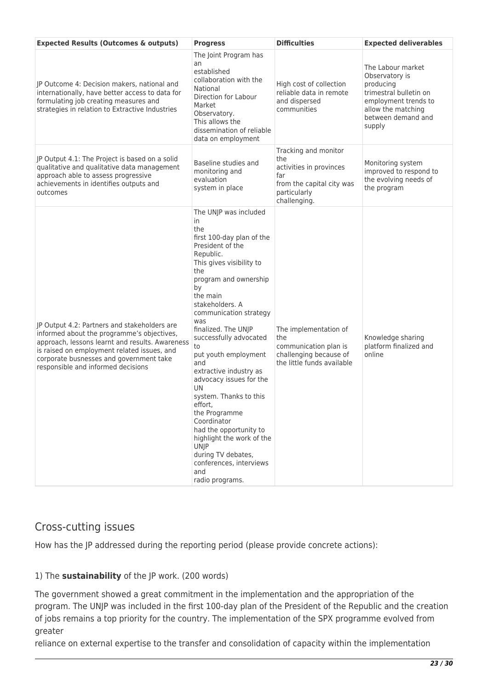| <b>Expected Results (Outcomes &amp; outputs)</b>                                                                                                                                                                                                                              | <b>Progress</b>                                                                                                                                                                                                                                                                                                                                                                                                                                                                                                                                                                                            | <b>Difficulties</b>                                                                                                        | <b>Expected deliverables</b>                                                                                                                             |
|-------------------------------------------------------------------------------------------------------------------------------------------------------------------------------------------------------------------------------------------------------------------------------|------------------------------------------------------------------------------------------------------------------------------------------------------------------------------------------------------------------------------------------------------------------------------------------------------------------------------------------------------------------------------------------------------------------------------------------------------------------------------------------------------------------------------------------------------------------------------------------------------------|----------------------------------------------------------------------------------------------------------------------------|----------------------------------------------------------------------------------------------------------------------------------------------------------|
| JP Outcome 4: Decision makers, national and<br>internationally, have better access to data for<br>formulating job creating measures and<br>strategies in relation to Extractive Industries                                                                                    | The Joint Program has<br>an<br>established<br>collaboration with the<br>National<br>Direction for Labour<br>Market<br>Observatory.<br>This allows the<br>dissemination of reliable<br>data on employment                                                                                                                                                                                                                                                                                                                                                                                                   | High cost of collection<br>reliable data in remote<br>and dispersed<br>communities                                         | The Labour market<br>Observatory is<br>producing<br>trimestral bulletin on<br>employment trends to<br>allow the matching<br>between demand and<br>supply |
| JP Output 4.1: The Project is based on a solid<br>qualitative and qualitative data management<br>approach able to assess progressive<br>achievements in identifies outputs and<br>outcomes                                                                                    | Baseline studies and<br>monitoring and<br>evaluation<br>system in place                                                                                                                                                                                                                                                                                                                                                                                                                                                                                                                                    | Tracking and monitor<br>the<br>activities in provinces<br>far<br>from the capital city was<br>particularly<br>challenging. | Monitoring system<br>improved to respond to<br>the evolving needs of<br>the program                                                                      |
| JP Output 4.2: Partners and stakeholders are<br>informed about the programme's objectives,<br>approach, lessons learnt and results. Awareness<br>is raised on employment related issues, and<br>corporate busnesses and government take<br>responsible and informed decisions | The UNJP was included<br>in.<br>the<br>first 100-day plan of the<br>President of the<br>Republic.<br>This gives visibility to<br>the<br>program and ownership<br>by<br>the main<br>stakeholders. A<br>communication strategy<br>was<br>finalized. The UNJP<br>successfully advocated<br>to<br>put youth employment<br>and<br>extractive industry as<br>advocacy issues for the<br>UN<br>system. Thanks to this<br>effort,<br>the Programme<br>Coordinator<br>had the opportunity to<br>highlight the work of the<br><b>UNJP</b><br>during TV debates,<br>conferences, interviews<br>and<br>radio programs. | The implementation of<br>the<br>communication plan is<br>challenging because of<br>the little funds available              | Knowledge sharing<br>platform finalized and<br>online                                                                                                    |

## Cross-cutting issues

How has the JP addressed during the reporting period (please provide concrete actions):

## 1) The **sustainability** of the JP work. (200 words)

The government showed a great commitment in the implementation and the appropriation of the program. The UNJP was included in the first 100-day plan of the President of the Republic and the creation of jobs remains a top priority for the country. The implementation of the SPX programme evolved from greater

reliance on external expertise to the transfer and consolidation of capacity within the implementation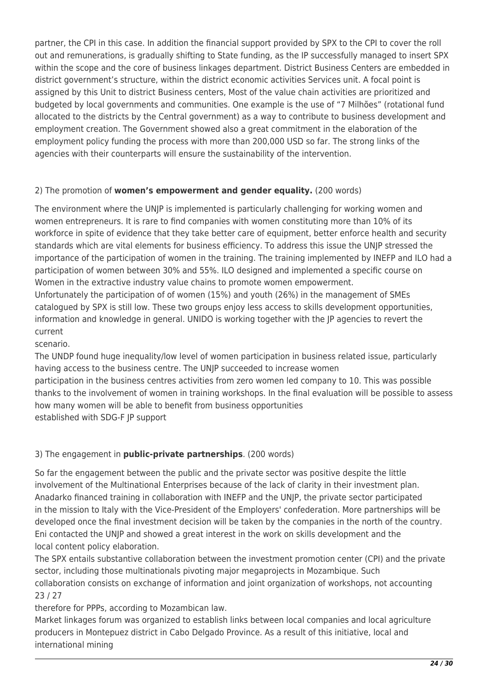partner, the CPI in this case. In addition the financial support provided by SPX to the CPI to cover the roll out and remunerations, is gradually shifting to State funding, as the IP successfully managed to insert SPX within the scope and the core of business linkages department. District Business Centers are embedded in district government's structure, within the district economic activities Services unit. A focal point is assigned by this Unit to district Business centers, Most of the value chain activities are prioritized and budgeted by local governments and communities. One example is the use of "7 Milhões" (rotational fund allocated to the districts by the Central government) as a way to contribute to business development and employment creation. The Government showed also a great commitment in the elaboration of the employment policy funding the process with more than 200,000 USD so far. The strong links of the agencies with their counterparts will ensure the sustainability of the intervention.

### 2) The promotion of **women's empowerment and gender equality.** (200 words)

The environment where the UNJP is implemented is particularly challenging for working women and women entrepreneurs. It is rare to find companies with women constituting more than 10% of its workforce in spite of evidence that they take better care of equipment, better enforce health and security standards which are vital elements for business efficiency. To address this issue the UNJP stressed the importance of the participation of women in the training. The training implemented by INEFP and ILO had a participation of women between 30% and 55%. ILO designed and implemented a specific course on Women in the extractive industry value chains to promote women empowerment.

Unfortunately the participation of of women (15%) and youth (26%) in the management of SMEs catalogued by SPX is still low. These two groups enjoy less access to skills development opportunities, information and knowledge in general. UNIDO is working together with the JP agencies to revert the current

scenario.

The UNDP found huge inequality/low level of women participation in business related issue, particularly having access to the business centre. The UNJP succeeded to increase women

participation in the business centres activities from zero women led company to 10. This was possible thanks to the involvement of women in training workshops. In the final evaluation will be possible to assess how many women will be able to benefit from business opportunities established with SDG-F JP support

## 3) The engagement in **public-private partnerships**. (200 words)

So far the engagement between the public and the private sector was positive despite the little involvement of the Multinational Enterprises because of the lack of clarity in their investment plan. Anadarko financed training in collaboration with INEFP and the UNJP, the private sector participated in the mission to Italy with the Vice-President of the Employers' confederation. More partnerships will be developed once the final investment decision will be taken by the companies in the north of the country. Eni contacted the UNJP and showed a great interest in the work on skills development and the local content policy elaboration.

The SPX entails substantive collaboration between the investment promotion center (CPI) and the private sector, including those multinationals pivoting major megaprojects in Mozambique. Such collaboration consists on exchange of information and joint organization of workshops, not accounting 23 / 27

therefore for PPPs, according to Mozambican law.

Market linkages forum was organized to establish links between local companies and local agriculture producers in Montepuez district in Cabo Delgado Province. As a result of this initiative, local and international mining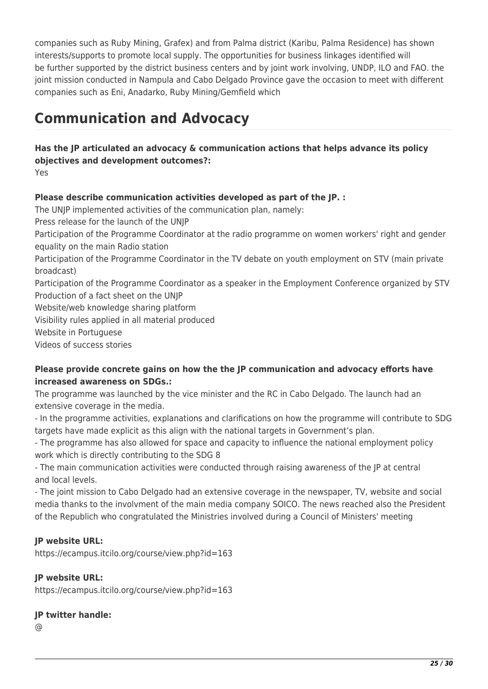companies such as Ruby Mining, Grafex) and from Palma district (Karibu, Palma Residence) has shown interests/supports to promote local supply. The opportunities for business linkages identified will be further supported by the district business centers and by joint work involving, UNDP, ILO and FAO. the joint mission conducted in Nampula and Cabo Delgado Province gave the occasion to meet with different companies such as Eni, Anadarko, Ruby Mining/Gemfield which

## **Communication and Advocacy**

**Has the JP articulated an advocacy & communication actions that helps advance its policy objectives and development outcomes?:**  Yes

## **Please describe communication activities developed as part of the JP. :**

The UNJP implemented activities of the communication plan, namely: Press release for the launch of the UNJP Participation of the Programme Coordinator at the radio programme on women workers' right and gender equality on the main Radio station Participation of the Programme Coordinator in the TV debate on youth employment on STV (main private broadcast) Participation of the Programme Coordinator as a speaker in the Employment Conference organized by STV Production of a fact sheet on the UNJP Website/web knowledge sharing platform Visibility rules applied in all material produced Website in Portuguese Videos of success stories

## **Please provide concrete gains on how the the JP communication and advocacy efforts have increased awareness on SDGs.:**

The programme was launched by the vice minister and the RC in Cabo Delgado. The launch had an extensive coverage in the media.

- In the programme activities, explanations and clarifications on how the programme will contribute to SDG targets have made explicit as this align with the national targets in Government's plan.

- The programme has also allowed for space and capacity to influence the national employment policy work which is directly contributing to the SDG 8

- The main communication activities were conducted through raising awareness of the JP at central and local levels.

- The joint mission to Cabo Delgado had an extensive coverage in the newspaper, TV, website and social media thanks to the involvment of the main media company SOICO. The news reached also the President of the Republich who congratulated the Ministries involved during a Council of Ministers' meeting

## **JP website URL:**

https://ecampus.itcilo.org/course/view.php?id=163

## **JP website URL:**

https://ecampus.itcilo.org/course/view.php?id=163

### **JP twitter handle:**

@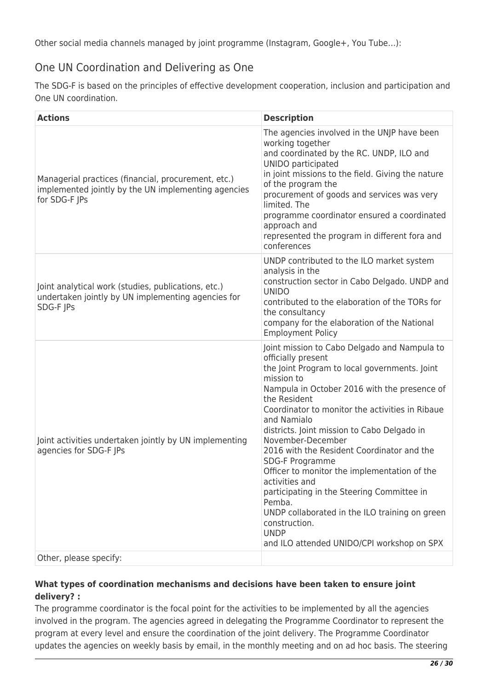Other social media channels managed by joint programme (Instagram, Google+, You Tube…):

## One UN Coordination and Delivering as One

The SDG-F is based on the principles of effective development cooperation, inclusion and participation and One UN coordination.

| <b>Actions</b>                                                                                                              | <b>Description</b>                                                                                                                                                                                                                                                                                                                                                                                                                                                                                                                                                                                                                                                 |
|-----------------------------------------------------------------------------------------------------------------------------|--------------------------------------------------------------------------------------------------------------------------------------------------------------------------------------------------------------------------------------------------------------------------------------------------------------------------------------------------------------------------------------------------------------------------------------------------------------------------------------------------------------------------------------------------------------------------------------------------------------------------------------------------------------------|
| Managerial practices (financial, procurement, etc.)<br>implemented jointly by the UN implementing agencies<br>for SDG-F JPs | The agencies involved in the UNJP have been<br>working together<br>and coordinated by the RC. UNDP, ILO and<br>UNIDO participated<br>in joint missions to the field. Giving the nature<br>of the program the<br>procurement of goods and services was very<br>limited. The<br>programme coordinator ensured a coordinated<br>approach and<br>represented the program in different fora and<br>conferences                                                                                                                                                                                                                                                          |
| Joint analytical work (studies, publications, etc.)<br>undertaken jointly by UN implementing agencies for<br>SDG-F JPs      | UNDP contributed to the ILO market system<br>analysis in the<br>construction sector in Cabo Delgado. UNDP and<br><b>UNIDO</b><br>contributed to the elaboration of the TORs for<br>the consultancy<br>company for the elaboration of the National<br><b>Employment Policy</b>                                                                                                                                                                                                                                                                                                                                                                                      |
| Joint activities undertaken jointly by UN implementing<br>agencies for SDG-F JPs                                            | Joint mission to Cabo Delgado and Nampula to<br>officially present<br>the Joint Program to local governments. Joint<br>mission to<br>Nampula in October 2016 with the presence of<br>the Resident<br>Coordinator to monitor the activities in Ribaue<br>and Namialo<br>districts. Joint mission to Cabo Delgado in<br>November-December<br>2016 with the Resident Coordinator and the<br>SDG-F Programme<br>Officer to monitor the implementation of the<br>activities and<br>participating in the Steering Committee in<br>Pemba.<br>UNDP collaborated in the ILO training on green<br>construction.<br><b>UNDP</b><br>and ILO attended UNIDO/CPI workshop on SPX |
| Other, please specify:                                                                                                      |                                                                                                                                                                                                                                                                                                                                                                                                                                                                                                                                                                                                                                                                    |

### **What types of coordination mechanisms and decisions have been taken to ensure joint delivery? :**

The programme coordinator is the focal point for the activities to be implemented by all the agencies involved in the program. The agencies agreed in delegating the Programme Coordinator to represent the program at every level and ensure the coordination of the joint delivery. The Programme Coordinator updates the agencies on weekly basis by email, in the monthly meeting and on ad hoc basis. The steering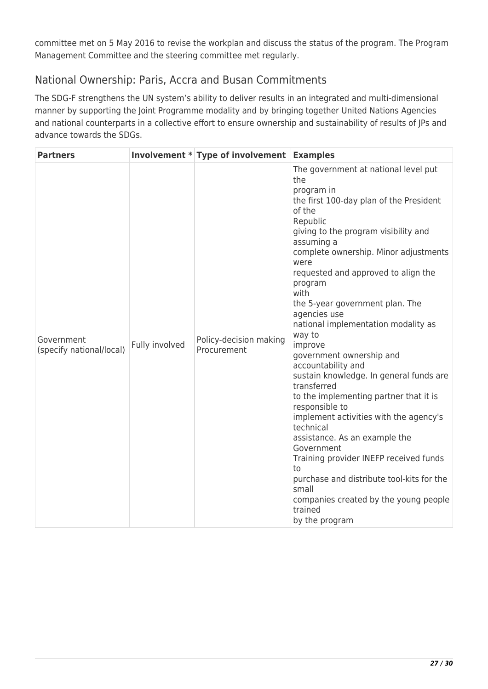committee met on 5 May 2016 to revise the workplan and discuss the status of the program. The Program Management Committee and the steering committee met regularly.

## National Ownership: Paris, Accra and Busan Commitments

The SDG-F strengthens the UN system's ability to deliver results in an integrated and multi-dimensional manner by supporting the Joint Programme modality and by bringing together United Nations Agencies and national counterparts in a collective effort to ensure ownership and sustainability of results of JPs and advance towards the SDGs.

| <b>Partners</b>                        |                | Involvement * Type of involvement Examples |                                                                                                                                                                                                                                                                                                                                                                                                                                                                                                                                                                                                                                                                                                                                                                                                                                                                      |
|----------------------------------------|----------------|--------------------------------------------|----------------------------------------------------------------------------------------------------------------------------------------------------------------------------------------------------------------------------------------------------------------------------------------------------------------------------------------------------------------------------------------------------------------------------------------------------------------------------------------------------------------------------------------------------------------------------------------------------------------------------------------------------------------------------------------------------------------------------------------------------------------------------------------------------------------------------------------------------------------------|
| Government<br>(specify national/local) | Fully involved | Policy-decision making<br>Procurement      | The government at national level put<br>the<br>program in<br>the first 100-day plan of the President<br>of the<br>Republic<br>giving to the program visibility and<br>assuming a<br>complete ownership. Minor adjustments<br>were<br>requested and approved to align the<br>program<br>with<br>the 5-year government plan. The<br>agencies use<br>national implementation modality as<br>way to<br>improve<br>government ownership and<br>accountability and<br>sustain knowledge. In general funds are<br>transferred<br>to the implementing partner that it is<br>responsible to<br>implement activities with the agency's<br>technical<br>assistance. As an example the<br>Government<br>Training provider INEFP received funds<br>to<br>purchase and distribute tool-kits for the<br>small<br>companies created by the young people<br>trained<br>by the program |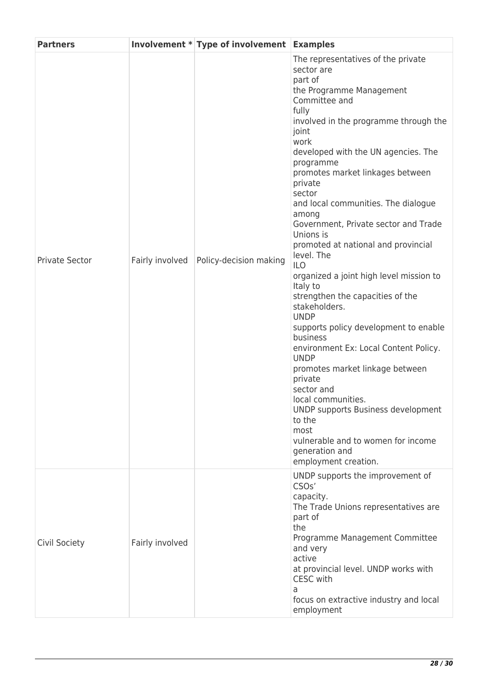| <b>Partners</b>       |                 | Involvement * Type of involvement Examples |                                                                                                                                                                                                                                                                                                                                                                                                                                                                                                                                                                                                                                                                                                                                                                                                                                                                                                                                    |
|-----------------------|-----------------|--------------------------------------------|------------------------------------------------------------------------------------------------------------------------------------------------------------------------------------------------------------------------------------------------------------------------------------------------------------------------------------------------------------------------------------------------------------------------------------------------------------------------------------------------------------------------------------------------------------------------------------------------------------------------------------------------------------------------------------------------------------------------------------------------------------------------------------------------------------------------------------------------------------------------------------------------------------------------------------|
| <b>Private Sector</b> | Fairly involved | Policy-decision making                     | The representatives of the private<br>sector are<br>part of<br>the Programme Management<br>Committee and<br>fully<br>involved in the programme through the<br>joint<br>work<br>developed with the UN agencies. The<br>programme<br>promotes market linkages between<br>private<br>sector<br>and local communities. The dialogue<br>among<br>Government, Private sector and Trade<br>Unions is<br>promoted at national and provincial<br>level. The<br><b>ILO</b><br>organized a joint high level mission to<br>Italy to<br>strengthen the capacities of the<br>stakeholders.<br><b>UNDP</b><br>supports policy development to enable<br>business<br>environment Ex: Local Content Policy.<br><b>UNDP</b><br>promotes market linkage between<br>private<br>sector and<br>local communities.<br>UNDP supports Business development<br>to the<br>most<br>vulnerable and to women for income<br>generation and<br>employment creation. |
| Civil Society         | Fairly involved |                                            | UNDP supports the improvement of<br>CSO <sub>s</sub> '<br>capacity.<br>The Trade Unions representatives are<br>part of<br>the<br>Programme Management Committee<br>and very<br>active<br>at provincial level. UNDP works with<br>CESC with<br>a<br>focus on extractive industry and local<br>employment                                                                                                                                                                                                                                                                                                                                                                                                                                                                                                                                                                                                                            |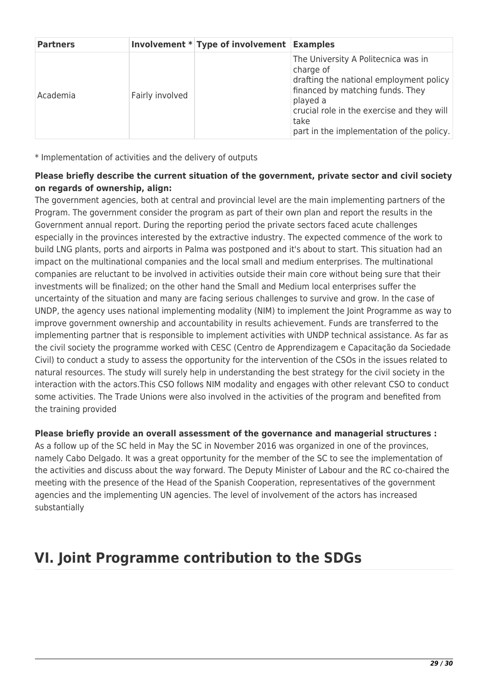| <b>Partners</b> |                 | Involvement * Type of involvement Examples |                                                                                                                                                                                                                                                |
|-----------------|-----------------|--------------------------------------------|------------------------------------------------------------------------------------------------------------------------------------------------------------------------------------------------------------------------------------------------|
| Academia        | Fairly involved |                                            | The University A Politecnica was in<br>charge of<br>drafting the national employment policy<br>financed by matching funds. They<br>played a<br>crucial role in the exercise and they will<br>take<br>part in the implementation of the policy. |

\* Implementation of activities and the delivery of outputs

### **Please briefly describe the current situation of the government, private sector and civil society on regards of ownership, align:**

The government agencies, both at central and provincial level are the main implementing partners of the Program. The government consider the program as part of their own plan and report the results in the Government annual report. During the reporting period the private sectors faced acute challenges especially in the provinces interested by the extractive industry. The expected commence of the work to build LNG plants, ports and airports in Palma was postponed and it's about to start. This situation had an impact on the multinational companies and the local small and medium enterprises. The multinational companies are reluctant to be involved in activities outside their main core without being sure that their investments will be finalized; on the other hand the Small and Medium local enterprises suffer the uncertainty of the situation and many are facing serious challenges to survive and grow. In the case of UNDP, the agency uses national implementing modality (NIM) to implement the Joint Programme as way to improve government ownership and accountability in results achievement. Funds are transferred to the implementing partner that is responsible to implement activities with UNDP technical assistance. As far as the civil society the programme worked with CESC (Centro de Apprendizagem e Capacitação da Sociedade Civil) to conduct a study to assess the opportunity for the intervention of the CSOs in the issues related to natural resources. The study will surely help in understanding the best strategy for the civil society in the interaction with the actors.This CSO follows NIM modality and engages with other relevant CSO to conduct some activities. The Trade Unions were also involved in the activities of the program and benefited from the training provided

### **Please briefly provide an overall assessment of the governance and managerial structures :**

As a follow up of the SC held in May the SC in November 2016 was organized in one of the provinces, namely Cabo Delgado. It was a great opportunity for the member of the SC to see the implementation of the activities and discuss about the way forward. The Deputy Minister of Labour and the RC co-chaired the meeting with the presence of the Head of the Spanish Cooperation, representatives of the government agencies and the implementing UN agencies. The level of involvement of the actors has increased substantially

## **VI. Joint Programme contribution to the SDGs**